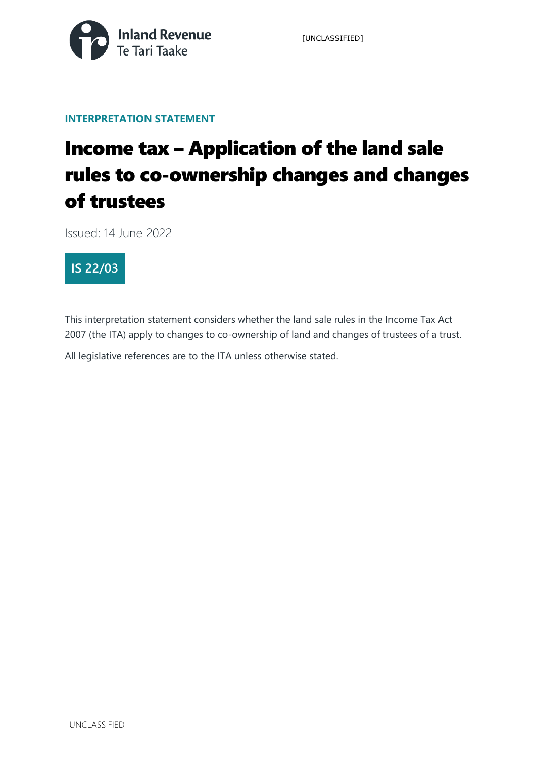

[UNCLASSIFIED]

### **INTERPRETATION STATEMENT**

# Income tax – Application of the land sale rules to co-ownership changes and changes of trustees

Issued: 14 June 2022



This interpretation statement considers whether the land sale rules in the Income Tax Act 2007 (the ITA) apply to changes to co-ownership of land and changes of trustees of a trust.

All legislative references are to the ITA unless otherwise stated.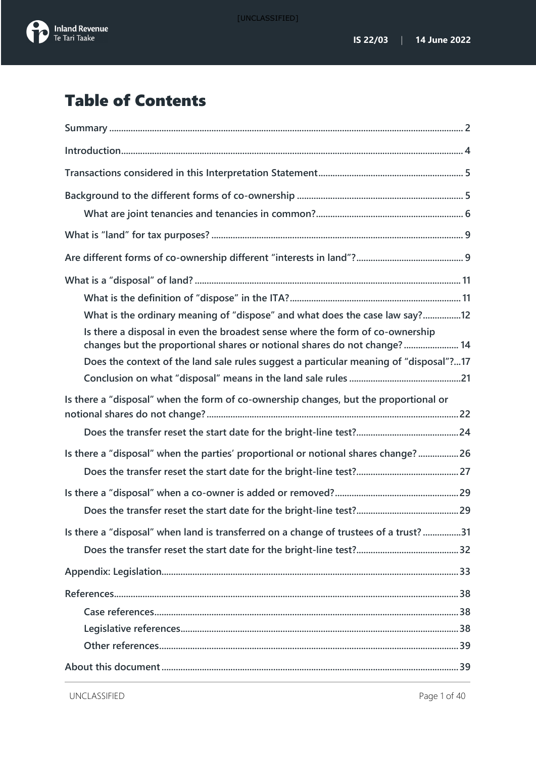



# Table of Contents

| What is the ordinary meaning of "dispose" and what does the case law say?12                                                                               |
|-----------------------------------------------------------------------------------------------------------------------------------------------------------|
| Is there a disposal in even the broadest sense where the form of co-ownership<br>changes but the proportional shares or notional shares do not change? 14 |
| Does the context of the land sale rules suggest a particular meaning of "disposal"?17                                                                     |
|                                                                                                                                                           |
| Is there a "disposal" when the form of co-ownership changes, but the proportional or                                                                      |
|                                                                                                                                                           |
| Is there a "disposal" when the parties' proportional or notional shares change?26                                                                         |
|                                                                                                                                                           |
|                                                                                                                                                           |
|                                                                                                                                                           |
| Is there a "disposal" when land is transferred on a change of trustees of a trust?31                                                                      |
|                                                                                                                                                           |
|                                                                                                                                                           |
|                                                                                                                                                           |
|                                                                                                                                                           |
|                                                                                                                                                           |
|                                                                                                                                                           |
|                                                                                                                                                           |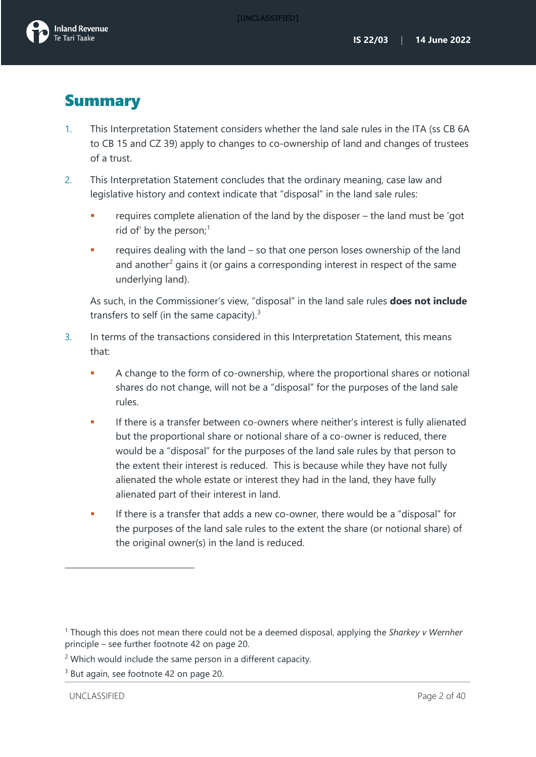# <span id="page-2-0"></span>**Summary**

- 1. This Interpretation Statement considers whether the land sale rules in the ITA (ss CB 6A to CB 15 and CZ 39) apply to changes to co-ownership of land and changes of trustees of a trust.
- <span id="page-2-4"></span>2. This Interpretation Statement concludes that the ordinary meaning, case law and legislative history and context indicate that "disposal" in the land sale rules:
	- requires complete alienation of the land by the disposer the land must be 'got rid of' by the person;<sup>[1](#page-2-1)</sup>
	- requires dealing with the land so that one person loses ownership of the land and another $2$  gains it (or gains a corresponding interest in respect of the same underlying land).

As such, in the Commissioner's view, "disposal" in the land sale rules **does not include** transfers to self (in the same capacity).<sup>[3](#page-2-3)</sup>

- 3. In terms of the transactions considered in this Interpretation Statement, this means that:
	- A change to the form of co-ownership, where the proportional shares or notional shares do not change, will not be a "disposal" for the purposes of the land sale rules.
	- **If there is a transfer between co-owners where neither's interest is fully alienated** but the proportional share or notional share of a co-owner is reduced, there would be a "disposal" for the purposes of the land sale rules by that person to the extent their interest is reduced. This is because while they have not fully alienated the whole estate or interest they had in the land, they have fully alienated part of their interest in land.
	- If there is a transfer that adds a new co-owner, there would be a "disposal" for the purposes of the land sale rules to the extent the share (or notional share) of the original owner(s) in the land is reduced.

<span id="page-2-1"></span><sup>1</sup> Though this does not mean there could not be a deemed disposal, applying the *Sharkey v Wernher* principle – see further footnote [42](#page-21-1) on page [20.](#page-21-2)

<span id="page-2-2"></span><sup>&</sup>lt;sup>2</sup> Which would include the same person in a different capacity.

<span id="page-2-3"></span><sup>&</sup>lt;sup>3</sup> But again, see footnote [42](#page-21-1) on page [20.](#page-21-2)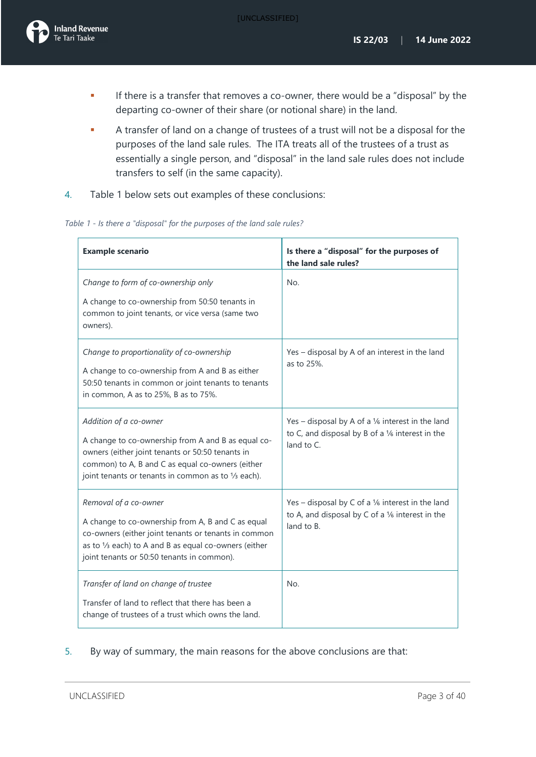[UNCLASSIFIED]

- **If there is a transfer that removes a co-owner, there would be a "disposal" by the** departing co-owner of their share (or notional share) in the land.
- A transfer of land on a change of trustees of a trust will not be a disposal for the purposes of the land sale rules. The ITA treats all of the trustees of a trust as essentially a single person, and "disposal" in the land sale rules does not include transfers to self (in the same capacity).
- 4. Table 1 below sets out examples of these conclusions:

|  |  |  | Table 1 - Is there a "disposal" for the purposes of the land sale rules? |
|--|--|--|--------------------------------------------------------------------------|
|--|--|--|--------------------------------------------------------------------------|

| <b>Example scenario</b>                                                                                                                                                                                                                     | Is there a "disposal" for the purposes of<br>the land sale rules?                                                                       |
|---------------------------------------------------------------------------------------------------------------------------------------------------------------------------------------------------------------------------------------------|-----------------------------------------------------------------------------------------------------------------------------------------|
| Change to form of co-ownership only<br>A change to co-ownership from 50:50 tenants in<br>common to joint tenants, or vice versa (same two<br>owners).                                                                                       | No.                                                                                                                                     |
| Change to proportionality of co-ownership<br>A change to co-ownership from A and B as either<br>50:50 tenants in common or joint tenants to tenants<br>in common, A as to 25%, B as to 75%.                                                 | Yes - disposal by A of an interest in the land<br>as to 25%.                                                                            |
| Addition of a co-owner<br>A change to co-ownership from A and B as equal co-<br>owners (either joint tenants or 50:50 tenants in<br>common) to A, B and C as equal co-owners (either<br>joint tenants or tenants in common as to 1/3 each). | Yes – disposal by A of a $\frac{1}{6}$ interest in the land<br>to C, and disposal by B of a $\frac{1}{6}$ interest in the<br>land to C. |
| Removal of a co-owner<br>A change to co-ownership from A, B and C as equal<br>co-owners (either joint tenants or tenants in common<br>as to 1/3 each) to A and B as equal co-owners (either<br>joint tenants or 50:50 tenants in common).   | Yes - disposal by C of a 1/6 interest in the land<br>to A, and disposal by C of a 1/6 interest in the<br>land to B.                     |
| Transfer of land on change of trustee<br>Transfer of land to reflect that there has been a<br>change of trustees of a trust which owns the land.                                                                                            | No.                                                                                                                                     |

5. By way of summary, the main reasons for the above conclusions are that: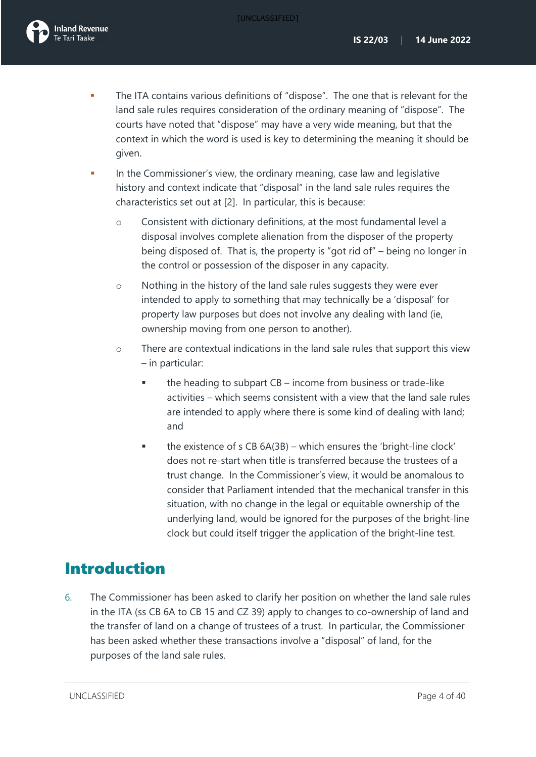

- The ITA contains various definitions of "dispose". The one that is relevant for the land sale rules requires consideration of the ordinary meaning of "dispose". The courts have noted that "dispose" may have a very wide meaning, but that the context in which the word is used is key to determining the meaning it should be given.
- In the Commissioner's view, the ordinary meaning, case law and legislative history and context indicate that "disposal" in the land sale rules requires the characteristics set out at [\[2\]](#page-2-4). In particular, this is because:
	- o Consistent with dictionary definitions, at the most fundamental level a disposal involves complete alienation from the disposer of the property being disposed of. That is, the property is "got rid of" – being no longer in the control or possession of the disposer in any capacity.
	- o Nothing in the history of the land sale rules suggests they were ever intended to apply to something that may technically be a 'disposal' for property law purposes but does not involve any dealing with land (ie, ownership moving from one person to another).
	- o There are contextual indications in the land sale rules that support this view – in particular:
		- the heading to subpart CB income from business or trade-like activities – which seems consistent with a view that the land sale rules are intended to apply where there is some kind of dealing with land; and
		- $\blacksquare$  the existence of s CB 6A(3B) which ensures the 'bright-line clock' does not re-start when title is transferred because the trustees of a trust change. In the Commissioner's view, it would be anomalous to consider that Parliament intended that the mechanical transfer in this situation, with no change in the legal or equitable ownership of the underlying land, would be ignored for the purposes of the bright-line clock but could itself trigger the application of the bright-line test.

# <span id="page-4-0"></span>Introduction

6. The Commissioner has been asked to clarify her position on whether the land sale rules in the ITA (ss CB 6A to CB 15 and CZ 39) apply to changes to co-ownership of land and the transfer of land on a change of trustees of a trust. In particular, the Commissioner has been asked whether these transactions involve a "disposal" of land, for the purposes of the land sale rules.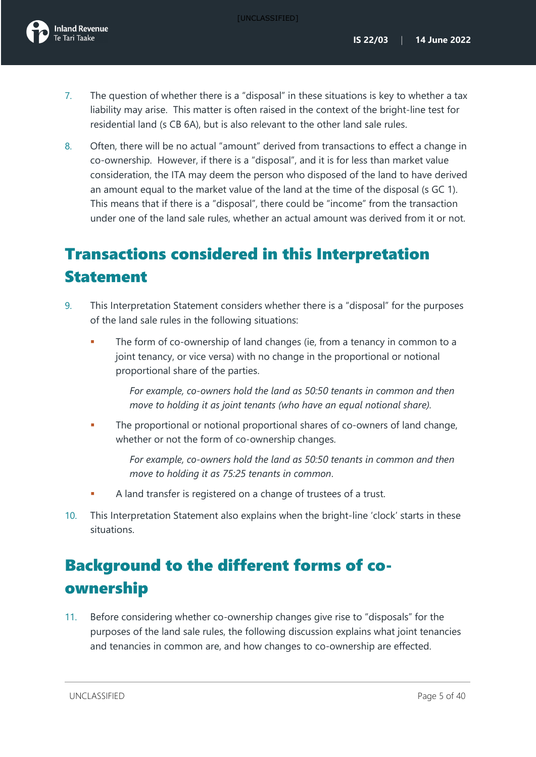- 7. The question of whether there is a "disposal" in these situations is key to whether a tax liability may arise. This matter is often raised in the context of the bright-line test for residential land (s CB 6A), but is also relevant to the other land sale rules.
- <span id="page-5-2"></span>8. Often, there will be no actual "amount" derived from transactions to effect a change in co-ownership. However, if there is a "disposal", and it is for less than market value consideration, the ITA may deem the person who disposed of the land to have derived an amount equal to the market value of the land at the time of the disposal (s GC 1). This means that if there is a "disposal", there could be "income" from the transaction under one of the land sale rules, whether an actual amount was derived from it or not.

# <span id="page-5-0"></span>Transactions considered in this Interpretation Statement

- 9. This Interpretation Statement considers whether there is a "disposal" for the purposes of the land sale rules in the following situations:
	- The form of co-ownership of land changes (ie, from a tenancy in common to a joint tenancy, or vice versa) with no change in the proportional or notional proportional share of the parties.

*For example, co-owners hold the land as 50:50 tenants in common and then move to holding it as joint tenants (who have an equal notional share).*

 The proportional or notional proportional shares of co-owners of land change, whether or not the form of co-ownership changes.

> *For example, co-owners hold the land as 50:50 tenants in common and then move to holding it as 75:25 tenants in common*.

- A land transfer is registered on a change of trustees of a trust.
- 10. This Interpretation Statement also explains when the bright-line 'clock' starts in these situations.

# <span id="page-5-1"></span>Background to the different forms of coownership

11. Before considering whether co-ownership changes give rise to "disposals" for the purposes of the land sale rules, the following discussion explains what joint tenancies and tenancies in common are, and how changes to co-ownership are effected.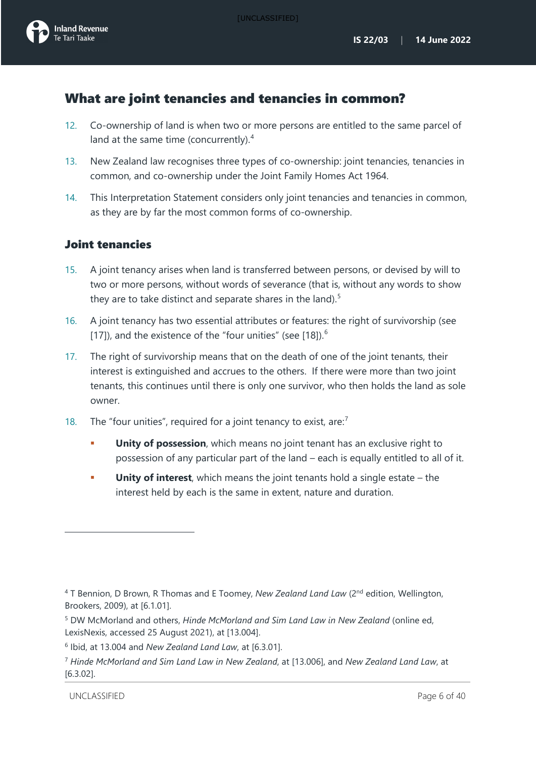## <span id="page-6-0"></span>What are joint tenancies and tenancies in common?

- 12. Co-ownership of land is when two or more persons are entitled to the same parcel of land at the same time (concurrently).<sup>[4](#page-6-3)</sup>
- 13. New Zealand law recognises three types of co-ownership: joint tenancies, tenancies in common, and co-ownership under the Joint Family Homes Act 1964.
- 14. This Interpretation Statement considers only joint tenancies and tenancies in common, as they are by far the most common forms of co-ownership.

## Joint tenancies

- 15. A joint tenancy arises when land is transferred between persons, or devised by will to two or more persons, without words of severance (that is, without any words to show they are to take distinct and separate shares in the land).<sup>[5](#page-6-4)</sup>
- 16. A joint tenancy has two essential attributes or features: the right of survivorship (see [\[17\]](#page-6-1)), and the existence of the "four unities" (see  $[18]$ ).<sup>[6](#page-6-5)</sup>
- <span id="page-6-1"></span>17. The right of survivorship means that on the death of one of the joint tenants, their interest is extinguished and accrues to the others. If there were more than two joint tenants, this continues until there is only one survivor, who then holds the land as sole owner.
- <span id="page-6-2"></span>18. The "four unities", required for a joint tenancy to exist, are: $<sup>7</sup>$  $<sup>7</sup>$  $<sup>7</sup>$ </sup>
	- **Unity of possession**, which means no joint tenant has an exclusive right to possession of any particular part of the land – each is equally entitled to all of it.
	- **Unity of interest**, which means the joint tenants hold a single estate the interest held by each is the same in extent, nature and duration.

<span id="page-6-3"></span><sup>&</sup>lt;sup>4</sup> T Bennion, D Brown, R Thomas and E Toomey, *New Zealand Land Law* (2<sup>nd</sup> edition, Wellington, Brookers, 2009), at [6.1.01].

<span id="page-6-4"></span><sup>5</sup> DW McMorland and others, *Hinde McMorland and Sim Land Law in New Zealand* (online ed, LexisNexis, accessed 25 August 2021), at [13.004].

<span id="page-6-5"></span><sup>6</sup> Ibid, at 13.004 and *New Zealand Land Law*, at [6.3.01].

<span id="page-6-6"></span><sup>7</sup> *Hinde McMorland and Sim Land Law in New Zealand*, at [13.006], and *New Zealand Land Law*, at [6.3.02].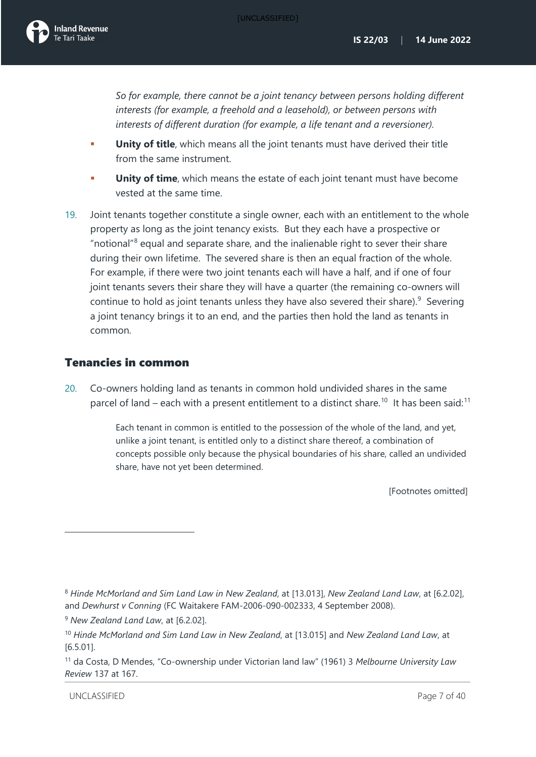*So for example, there cannot be a joint tenancy between persons holding different interests (for example, a freehold and a leasehold), or between persons with interests of different duration (for example, a life tenant and a reversioner).*

- **Unity of title**, which means all the joint tenants must have derived their title from the same instrument.
- **Unity of time**, which means the estate of each joint tenant must have become vested at the same time.
- <span id="page-7-4"></span>19. Joint tenants together constitute a single owner, each with an entitlement to the whole property as long as the joint tenancy exists. But they each have a prospective or "notional"[8](#page-7-0) equal and separate share, and the inalienable right to sever their share during their own lifetime. The severed share is then an equal fraction of the whole. For example, if there were two joint tenants each will have a half, and if one of four joint tenants severs their share they will have a quarter (the remaining co-owners will continue to hold as joint tenants unless they have also severed their share). $9$  Severing a joint tenancy brings it to an end, and the parties then hold the land as tenants in common.

### Tenancies in common

20. Co-owners holding land as tenants in common hold undivided shares in the same parcel of land – each with a present entitlement to a distinct share.<sup>10</sup> It has been said:<sup>[11](#page-7-3)</sup>

> Each tenant in common is entitled to the possession of the whole of the land, and yet, unlike a joint tenant, is entitled only to a distinct share thereof, a combination of concepts possible only because the physical boundaries of his share, called an undivided share, have not yet been determined.

> > [Footnotes omitted]

<span id="page-7-0"></span><sup>8</sup> *Hinde McMorland and Sim Land Law in New Zealand*, at [13.013], *New Zealand Land Law*, at [6.2.02], and *Dewhurst v Conning* (FC Waitakere FAM-2006-090-002333, 4 September 2008).

<span id="page-7-1"></span><sup>9</sup> *New Zealand Land Law*, at [6.2.02].

<span id="page-7-2"></span><sup>10</sup> *Hinde McMorland and Sim Land Law in New Zealand*, at [13.015] and *New Zealand Land Law*, at [6.5.01].

<span id="page-7-3"></span><sup>11</sup> da Costa, D Mendes, "Co-ownership under Victorian land law" (1961) 3 *Melbourne University Law Review* 137 at 167.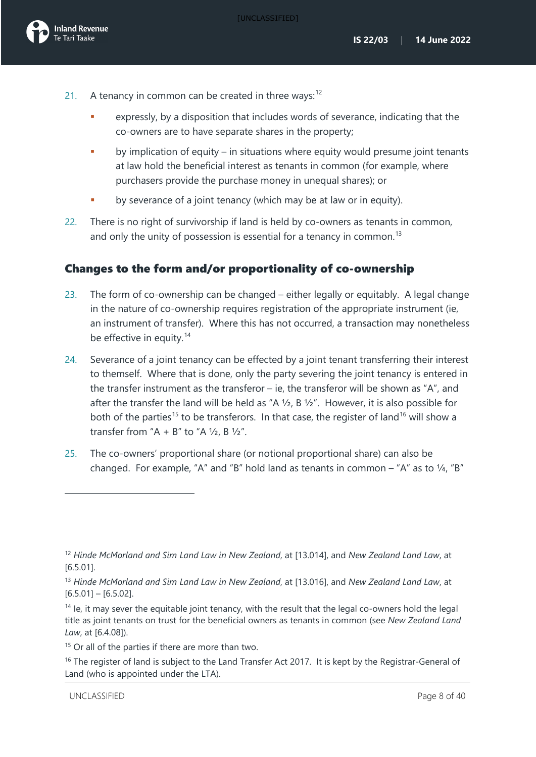

- 21. A tenancy in common can be created in three ways: $12$ 
	- expressly, by a disposition that includes words of severance, indicating that the co-owners are to have separate shares in the property;
	- **•** by implication of equity in situations where equity would presume joint tenants at law hold the beneficial interest as tenants in common (for example, where purchasers provide the purchase money in unequal shares); or
	- by severance of a joint tenancy (which may be at law or in equity).
- 22. There is no right of survivorship if land is held by co-owners as tenants in common, and only the unity of possession is essential for a tenancy in common.<sup>[13](#page-8-1)</sup>

## Changes to the form and/or proportionality of co-ownership

- 23. The form of co-ownership can be changed either legally or equitably. A legal change in the nature of co-ownership requires registration of the appropriate instrument (ie, an instrument of transfer). Where this has not occurred, a transaction may nonetheless be effective in equity.<sup>[14](#page-8-2)</sup>
- <span id="page-8-5"></span>24. Severance of a joint tenancy can be effected by a joint tenant transferring their interest to themself. Where that is done, only the party severing the joint tenancy is entered in the transfer instrument as the transferor  $-$  ie, the transferor will be shown as "A", and after the transfer the land will be held as "A  $\frac{1}{2}$ , B  $\frac{1}{2}$ ". However, it is also possible for both of the parties<sup>[15](#page-8-3)</sup> to be transferors. In that case, the register of land<sup>[16](#page-8-4)</sup> will show a transfer from "A + B" to "A  $1/2$ , B  $1/2$ ".
- 25. The co-owners' proportional share (or notional proportional share) can also be changed. For example, "A" and "B" hold land as tenants in common – "A" as to ¼, "B"

<span id="page-8-0"></span><sup>12</sup> *Hinde McMorland and Sim Land Law in New Zealand*, at [13.014], and *New Zealand Land Law*, at [6.5.01].

<span id="page-8-1"></span><sup>13</sup> *Hinde McMorland and Sim Land Law in New Zealand*, at [13.016], and *New Zealand Land Law*, at  $[6.5.01] - [6.5.02]$ .

<span id="page-8-2"></span> $14$  le, it may sever the equitable joint tenancy, with the result that the legal co-owners hold the legal title as joint tenants on trust for the beneficial owners as tenants in common (see *New Zealand Land Law*, at [6.4.08]).

<span id="page-8-3"></span><sup>&</sup>lt;sup>15</sup> Or all of the parties if there are more than two.

<span id="page-8-4"></span> $16$  The register of land is subject to the Land Transfer Act 2017. It is kept by the Registrar-General of Land (who is appointed under the LTA).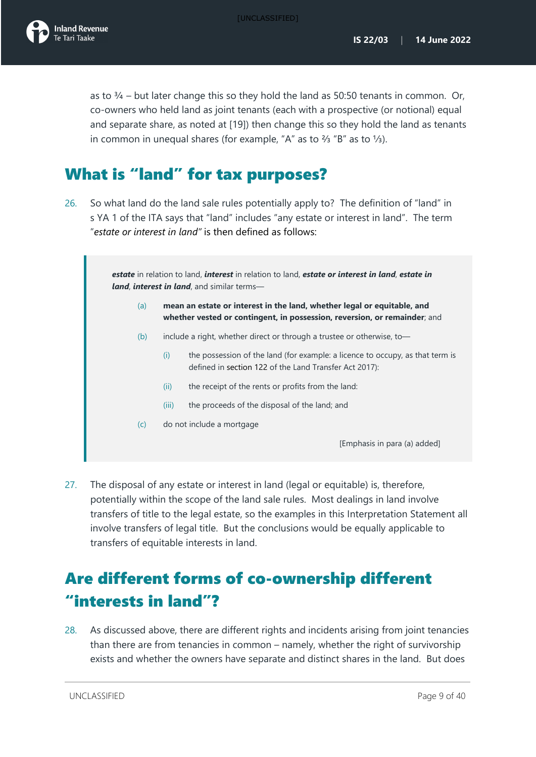

as to  $\frac{3}{4}$  – but later change this so they hold the land as 50:50 tenants in common. Or, co-owners who held land as joint tenants (each with a prospective (or notional) equal and separate share, as noted at [\[19\]](#page-7-4)) then change this so they hold the land as tenants in common in unequal shares (for example, "A" as to ⅔ "B" as to ⅓).

# <span id="page-9-0"></span>What is "land" for tax purposes?

<span id="page-9-2"></span>26. So what land do the land sale rules potentially apply to? The definition of "land" in s YA 1 of the ITA says that "land" includes "any estate or interest in land". The term "*estate or interest in land"* is then defined as follows:

> *estate* in relation to land, *interest* in relation to land, *estate or interest in land*, *estate in land*, *interest in land*, and similar terms—

- (a) **mean an estate or interest in the land, whether legal or equitable, and whether vested or contingent, in possession, reversion, or remainder**; and
- (b) include a right, whether direct or through a trustee or otherwise, to—
	- (i) the possession of the land (for example: a licence to occupy, as that term is defined in section 122 of the Land Transfer Act 2017):
	- (ii) the receipt of the rents or profits from the land:
	- (iii) the proceeds of the disposal of the land; and
- (c) do not include a mortgage

[Emphasis in para (a) added]

27. The disposal of any estate or interest in land (legal or equitable) is, therefore, potentially within the scope of the land sale rules. Most dealings in land involve transfers of title to the legal estate, so the examples in this Interpretation Statement all involve transfers of legal title. But the conclusions would be equally applicable to transfers of equitable interests in land.

# <span id="page-9-1"></span>Are different forms of co-ownership different "interests in land"?

28. As discussed above, there are different rights and incidents arising from joint tenancies than there are from tenancies in common – namely, whether the right of survivorship exists and whether the owners have separate and distinct shares in the land. But does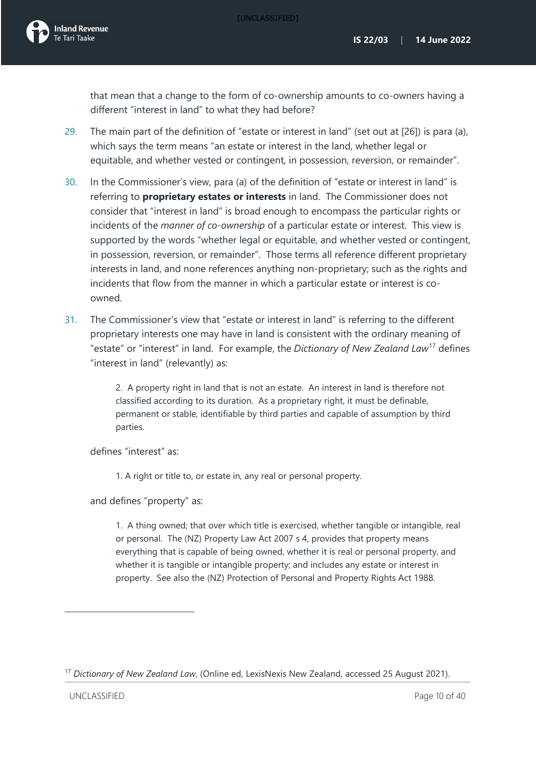that mean that a change to the form of co-ownership amounts to co-owners having a different "interest in land" to what they had before?

- 29. The main part of the definition of "estate or interest in land" (set out at [\[26\]](#page-9-2)) is para (a), which says the term means "an estate or interest in the land, whether legal or equitable, and whether vested or contingent, in possession, reversion, or remainder".
- 30. In the Commissioner's view, para (a) of the definition of "estate or interest in land" is referring to **proprietary estates or interests** in land. The Commissioner does not consider that "interest in land" is broad enough to encompass the particular rights or incidents of the *manner of co-ownership* of a particular estate or interest. This view is supported by the words "whether legal or equitable, and whether vested or contingent, in possession, reversion, or remainder". Those terms all reference different proprietary interests in land, and none references anything non-proprietary; such as the rights and incidents that flow from the manner in which a particular estate or interest is coowned.
- 31. The Commissioner's view that "estate or interest in land" is referring to the different proprietary interests one may have in land is consistent with the ordinary meaning of "estate" or "interest" in land. For example, the *Dictionary of New Zealand Law*[17](#page-10-0) defines "interest in land" (relevantly) as:

2. A property right in land that is not an estate. An interest in land is therefore not classified according to its duration. As a proprietary right, it must be definable, permanent or stable, identifiable by third parties and capable of assumption by third parties.

defines "interest" as:

1. A right or title to, or estate in, any real or personal property.

and defines "property" as:

1. A thing owned; that over which title is exercised, whether tangible or intangible, real or personal. The (NZ) Property Law Act 2007 s 4, provides that property means everything that is capable of being owned, whether it is real or personal property, and whether it is tangible or intangible property; and includes any estate or interest in property. See also the (NZ) Protection of Personal and Property Rights Act 1988.

<span id="page-10-0"></span><sup>17</sup> *Dictionary of New Zealand Law*, (Online ed, LexisNexis New Zealand, accessed 25 August 2021).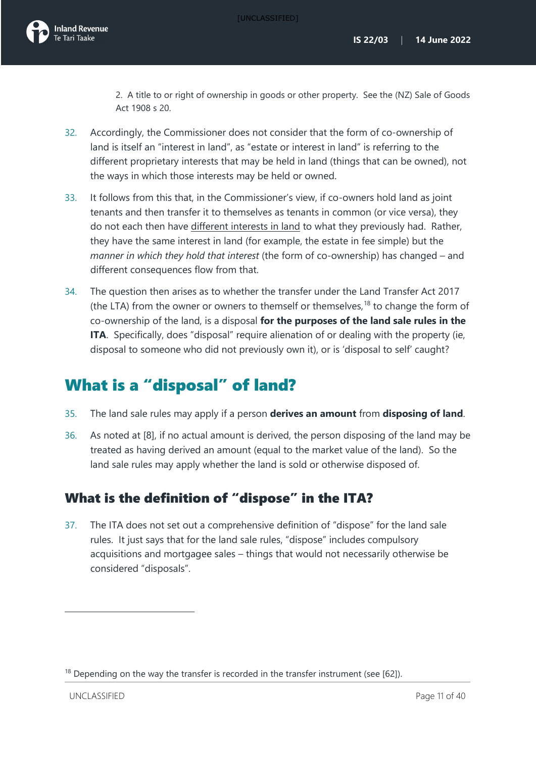2. A title to or right of ownership in goods or other property. See the (NZ) Sale of Goods Act 1908 s 20.

- <span id="page-11-3"></span>32. Accordingly, the Commissioner does not consider that the form of co-ownership of land is itself an "interest in land", as "estate or interest in land" is referring to the different proprietary interests that may be held in land (things that can be owned), not the ways in which those interests may be held or owned.
- 33. It follows from this that, in the Commissioner's view, if co-owners hold land as joint tenants and then transfer it to themselves as tenants in common (or vice versa), they do not each then have different interests in land to what they previously had. Rather, they have the same interest in land (for example, the estate in fee simple) but the *manner in which they hold that interest* (the form of co-ownership) has changed – and different consequences flow from that.
- 34. The question then arises as to whether the transfer under the Land Transfer Act 2017 (the LTA) from the owner or owners to themself or themselves, $18$  to change the form of co-ownership of the land, is a disposal **for the purposes of the land sale rules in the ITA.** Specifically, does "disposal" require alienation of or dealing with the property (ie, disposal to someone who did not previously own it), or is 'disposal to self' caught?

# <span id="page-11-0"></span>What is a "disposal" of land?

- 35. The land sale rules may apply if a person **derives an amount** from **disposing of land**.
- 36. As noted at [\[8\]](#page-5-2), if no actual amount is derived, the person disposing of the land may be treated as having derived an amount (equal to the market value of the land). So the land sale rules may apply whether the land is sold or otherwise disposed of.

## <span id="page-11-1"></span>What is the definition of "dispose" in the ITA?

37. The ITA does not set out a comprehensive definition of "dispose" for the land sale rules. It just says that for the land sale rules, "dispose" includes compulsory acquisitions and mortgagee sales – things that would not necessarily otherwise be considered "disposals".

<span id="page-11-2"></span> $18$  Depending on the way the transfer is recorded in the transfer instrument (see [\[62\]](#page-17-1)).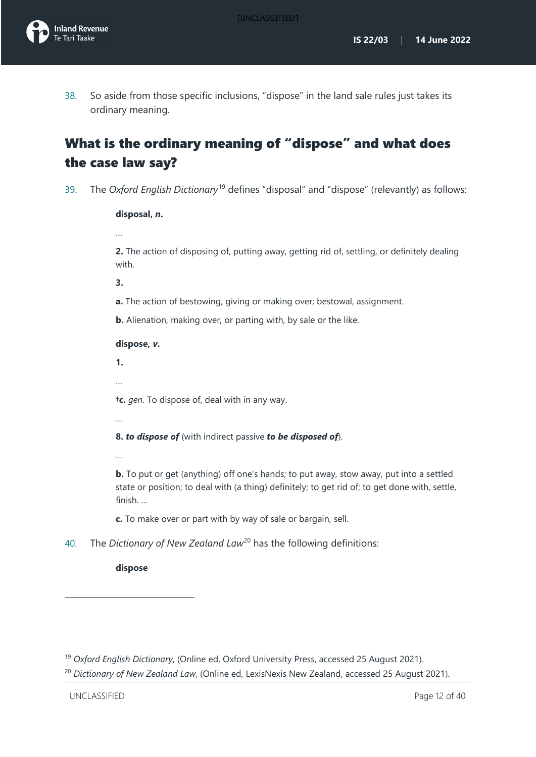[UNCLASSIFIED]

38. So aside from those specific inclusions, "dispose" in the land sale rules just takes its ordinary meaning.

# <span id="page-12-0"></span>What is the ordinary meaning of "dispose" and what does the case law say?

<span id="page-12-3"></span>39. The *Oxford English Dictionary*[19](#page-12-1) defines "disposal" and "dispose" (relevantly) as follows:

#### **disposal,** *n***.**

…

**2.** The action of disposing of, putting away, getting rid of, settling, or definitely dealing with.

**3.** 

- **a.** The action of bestowing, giving or making over; bestowal, assignment.
- **b.** Alienation, making over, or parting with, by sale or the like.

#### **dispose,** *v***.**

**1.** 

…

†**c.** *gen*. To dispose of, deal with in any way.

…

…

**8.** *to dispose of* (with indirect passive *to be disposed of*).

**b.** To put or get (anything) off one's hands; to put away, stow away, put into a settled state or position; to deal with (a thing) definitely; to get rid of; to get done with, settle, finish. …

**c.** To make over or part with by way of sale or bargain, sell.

<span id="page-12-4"></span>40. The *Dictionary of New Zealand Law*<sup>[20](#page-12-2)</sup> has the following definitions:

**dispose**

<span id="page-12-1"></span><sup>19</sup> *Oxford English Dictionary*, (Online ed, Oxford University Press, accessed 25 August 2021).

<span id="page-12-2"></span><sup>&</sup>lt;sup>20</sup> Dictionary of New Zealand Law, (Online ed, LexisNexis New Zealand, accessed 25 August 2021).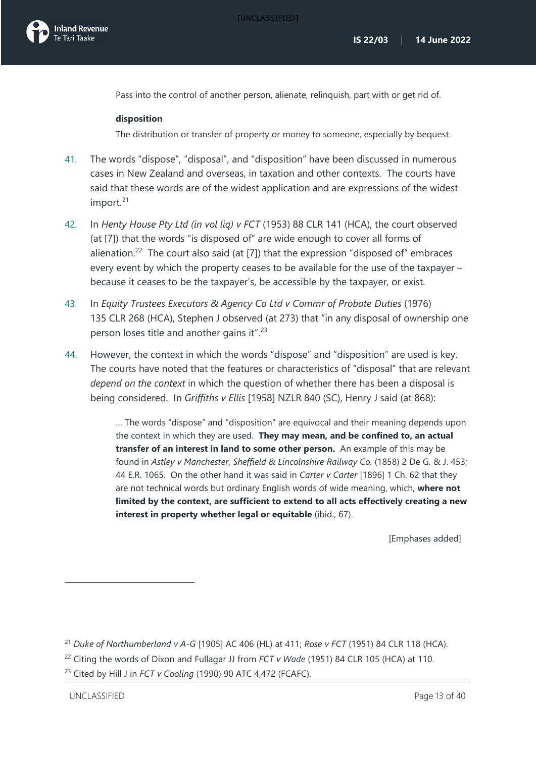Pass into the control of another person, alienate, relinquish, part with or get rid of.

#### **disposition**

The distribution or transfer of property or money to someone, especially by bequest.

- <span id="page-13-3"></span>41. The words "dispose", "disposal", and "disposition" have been discussed in numerous cases in New Zealand and overseas, in taxation and other contexts. The courts have said that these words are of the widest application and are expressions of the widest import.<sup>[21](#page-13-0)</sup>
- 42. In *Henty House Pty Ltd (in vol liq) v FCT* (1953) 88 CLR 141 (HCA), the court observed (at [7]) that the words "is disposed of" are wide enough to cover all forms of alienation.<sup>[22](#page-13-1)</sup> The court also said (at [7]) that the expression "disposed of" embraces every event by which the property ceases to be available for the use of the taxpayer – because it ceases to be the taxpayer's, be accessible by the taxpayer, or exist.
- 43. In *Equity Trustees Executors & Agency Co Ltd v Commr of Probate Duties* (1976) 135 CLR 268 (HCA), Stephen J observed (at 273) that "in any disposal of ownership one person loses title and another gains it".<sup>[23](#page-13-2)</sup>
- 44. However, the context in which the words "dispose" and "disposition" are used is key. The courts have noted that the features or characteristics of "disposal" that are relevant *depend on the context* in which the question of whether there has been a disposal is being considered. In *Griffiths v Ellis* [1958] NZLR 840 (SC), Henry J said (at 868):

… The words "dispose" and "disposition" are equivocal and their meaning depends upon the context in which they are used. **They may mean, and be confined to, an actual transfer of an interest in land to some other person.** An example of this may be found in *Astley v Manchester, Sheffield & Lincolnshire Railway Co.* (1858) 2 De G. & J. 453; 44 E.R. 1065. On the other hand it was said in *Carter v Carter* [1896] 1 Ch. 62 that they are not technical words but ordinary English words of wide meaning, which, **where not limited by the context, are sufficient to extend to all acts effectively creating a new interest in property whether legal or equitable** (ibid., 67).

[Emphases added]

<span id="page-13-0"></span><sup>21</sup> *Duke of Northumberland v A-G* [1905] AC 406 (HL) at 411; *Rose v FCT* (1951) 84 CLR 118 (HCA).

<span id="page-13-1"></span><sup>&</sup>lt;sup>22</sup> Citing the words of Dixon and Fullagar JJ from *FCT v Wade* (1951) 84 CLR 105 (HCA) at 110.

<span id="page-13-2"></span><sup>23</sup> Cited by Hill J in *FCT v Cooling* (1990) 90 ATC 4,472 (FCAFC).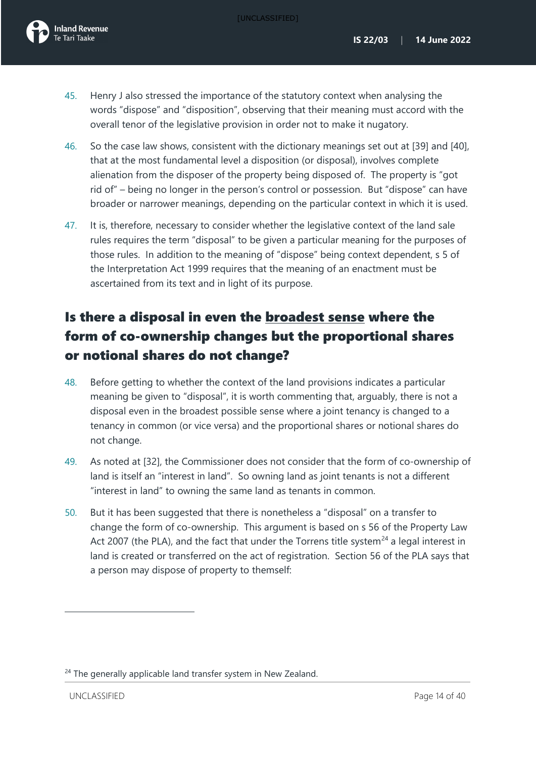- 45. Henry J also stressed the importance of the statutory context when analysing the words "dispose" and "disposition", observing that their meaning must accord with the overall tenor of the legislative provision in order not to make it nugatory.
- 46. So the case law shows, consistent with the dictionary meanings set out at [\[39\]](#page-12-3) and [\[40\]](#page-12-4), that at the most fundamental level a disposition (or disposal), involves complete alienation from the disposer of the property being disposed of. The property is "got rid of" – being no longer in the person's control or possession. But "dispose" can have broader or narrower meanings, depending on the particular context in which it is used.
- 47. It is, therefore, necessary to consider whether the legislative context of the land sale rules requires the term "disposal" to be given a particular meaning for the purposes of those rules. In addition to the meaning of "dispose" being context dependent, s 5 of the Interpretation Act 1999 requires that the meaning of an enactment must be ascertained from its text and in light of its purpose.

# <span id="page-14-0"></span>Is there a disposal in even the broadest sense where the form of co-ownership changes but the proportional shares or notional shares do not change?

- <span id="page-14-2"></span>48. Before getting to whether the context of the land provisions indicates a particular meaning be given to "disposal", it is worth commenting that, arguably, there is not a disposal even in the broadest possible sense where a joint tenancy is changed to a tenancy in common (or vice versa) and the proportional shares or notional shares do not change.
- 49. As noted at [\[32\]](#page-11-3), the Commissioner does not consider that the form of co-ownership of land is itself an "interest in land". So owning land as joint tenants is not a different "interest in land" to owning the same land as tenants in common.
- 50. But it has been suggested that there is nonetheless a "disposal" on a transfer to change the form of co-ownership. This argument is based on s 56 of the Property Law Act 2007 (the PLA), and the fact that under the Torrens title system<sup>[24](#page-14-1)</sup> a legal interest in land is created or transferred on the act of registration. Section 56 of the PLA says that a person may dispose of property to themself:

<span id="page-14-1"></span><sup>&</sup>lt;sup>24</sup> The generally applicable land transfer system in New Zealand.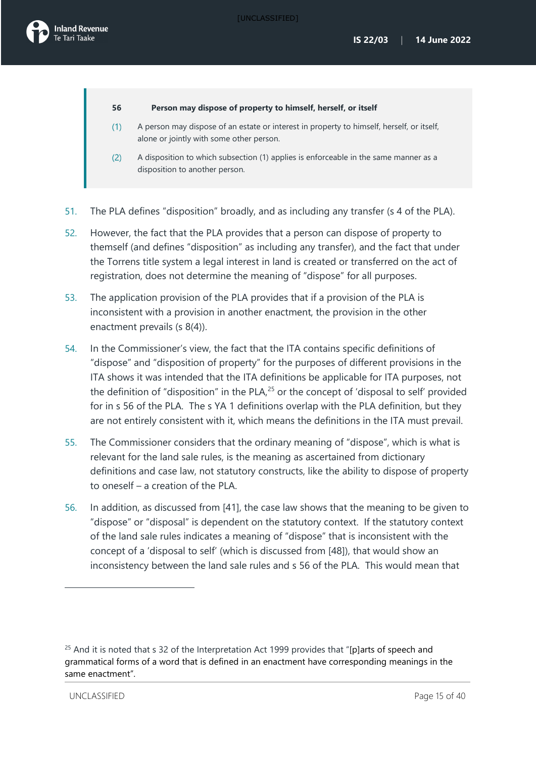#### **56 Person may dispose of property to himself, herself, or itself**

- A person may dispose of an estate or interest in property to himself, herself, or itself,  $(1)$ alone or jointly with some other person.
- $(2)$ A disposition to which subsection (1) applies is enforceable in the same manner as a disposition to another person.
- 51. The PLA defines "disposition" broadly, and as including any transfer (s 4 of the PLA).
- 52. However, the fact that the PLA provides that a person can dispose of property to themself (and defines "disposition" as including any transfer), and the fact that under the Torrens title system a legal interest in land is created or transferred on the act of registration, does not determine the meaning of "dispose" for all purposes.
- 53. The application provision of the PLA provides that if a provision of the PLA is inconsistent with a provision in another enactment, the provision in the other enactment prevails (s 8(4)).
- 54. In the Commissioner's view, the fact that the ITA contains specific definitions of "dispose" and "disposition of property" for the purposes of different provisions in the ITA shows it was intended that the ITA definitions be applicable for ITA purposes, not the definition of "disposition" in the PLA, $25$  or the concept of 'disposal to self' provided for in s 56 of the PLA. The s YA 1 definitions overlap with the PLA definition, but they are not entirely consistent with it, which means the definitions in the ITA must prevail.
- 55. The Commissioner considers that the ordinary meaning of "dispose", which is what is relevant for the land sale rules, is the meaning as ascertained from dictionary definitions and case law, not statutory constructs, like the ability to dispose of property to oneself – a creation of the PLA.
- 56. In addition, as discussed from [\[41\]](#page-13-3), the case law shows that the meaning to be given to "dispose" or "disposal" is dependent on the statutory context. If the statutory context of the land sale rules indicates a meaning of "dispose" that is inconsistent with the concept of a 'disposal to self' (which is discussed from [\[48\]](#page-14-2)), that would show an inconsistency between the land sale rules and s 56 of the PLA. This would mean that

<span id="page-15-0"></span> $25$  And it is noted that s 32 of the Interpretation Act 1999 provides that "[p]arts of speech and grammatical forms of a word that is defined in an enactment have corresponding meanings in the same enactment".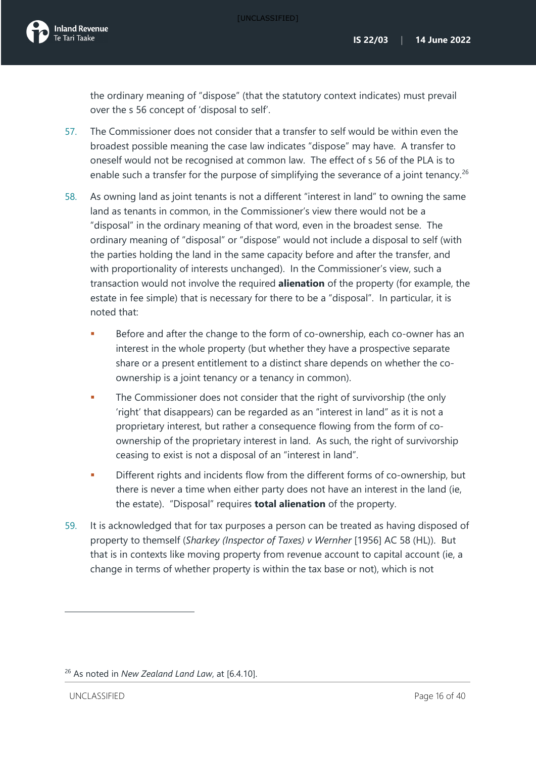

the ordinary meaning of "dispose" (that the statutory context indicates) must prevail over the s 56 concept of 'disposal to self'.

- 57. The Commissioner does not consider that a transfer to self would be within even the broadest possible meaning the case law indicates "dispose" may have. A transfer to oneself would not be recognised at common law. The effect of s 56 of the PLA is to enable such a transfer for the purpose of simplifying the severance of a joint tenancy.<sup>[26](#page-16-0)</sup>
- 58. As owning land as joint tenants is not a different "interest in land" to owning the same land as tenants in common, in the Commissioner's view there would not be a "disposal" in the ordinary meaning of that word, even in the broadest sense. The ordinary meaning of "disposal" or "dispose" would not include a disposal to self (with the parties holding the land in the same capacity before and after the transfer, and with proportionality of interests unchanged). In the Commissioner's view, such a transaction would not involve the required **alienation** of the property (for example, the estate in fee simple) that is necessary for there to be a "disposal". In particular, it is noted that:
	- Before and after the change to the form of co-ownership, each co-owner has an interest in the whole property (but whether they have a prospective separate share or a present entitlement to a distinct share depends on whether the coownership is a joint tenancy or a tenancy in common).
	- The Commissioner does not consider that the right of survivorship (the only 'right' that disappears) can be regarded as an "interest in land" as it is not a proprietary interest, but rather a consequence flowing from the form of coownership of the proprietary interest in land. As such, the right of survivorship ceasing to exist is not a disposal of an "interest in land".
	- **•** Different rights and incidents flow from the different forms of co-ownership, but there is never a time when either party does not have an interest in the land (ie, the estate). "Disposal" requires **total alienation** of the property.
- 59. It is acknowledged that for tax purposes a person can be treated as having disposed of property to themself (*Sharkey (Inspector of Taxes) v Wernher* [1956] AC 58 (HL)). But that is in contexts like moving property from revenue account to capital account (ie, a change in terms of whether property is within the tax base or not), which is not

<span id="page-16-0"></span><sup>26</sup> As noted in *New Zealand Land Law*, at [6.4.10].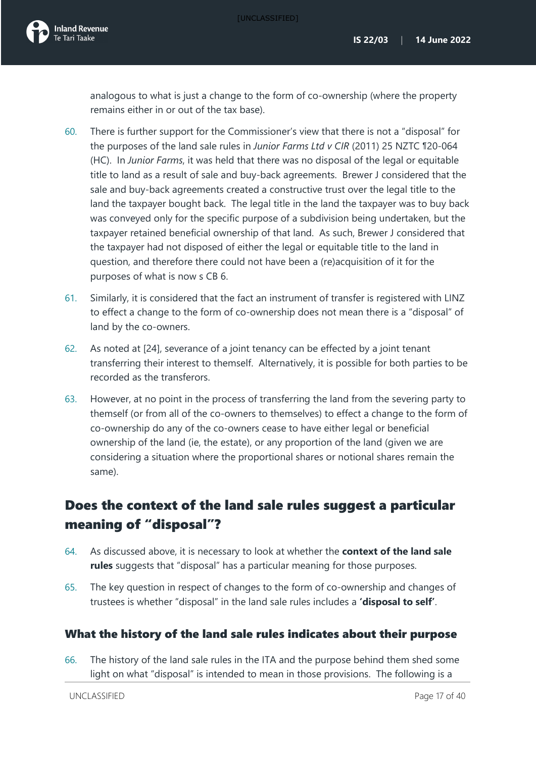[UNCLASSIFIED]

analogous to what is just a change to the form of co-ownership (where the property remains either in or out of the tax base).

- 60. There is further support for the Commissioner's view that there is not a "disposal" for the purposes of the land sale rules in *Junior Farms Ltd v CIR* (2011) 25 NZTC ¶20-064 (HC). In *Junior Farms*, it was held that there was no disposal of the legal or equitable title to land as a result of sale and buy-back agreements. Brewer J considered that the sale and buy-back agreements created a constructive trust over the legal title to the land the taxpayer bought back. The legal title in the land the taxpayer was to buy back was conveyed only for the specific purpose of a subdivision being undertaken, but the taxpayer retained beneficial ownership of that land. As such, Brewer J considered that the taxpayer had not disposed of either the legal or equitable title to the land in question, and therefore there could not have been a (re)acquisition of it for the purposes of what is now s CB 6.
- 61. Similarly, it is considered that the fact an instrument of transfer is registered with LINZ to effect a change to the form of co-ownership does not mean there is a "disposal" of land by the co-owners.
- <span id="page-17-1"></span>62. As noted at [\[24\]](#page-8-5), severance of a joint tenancy can be effected by a joint tenant transferring their interest to themself. Alternatively, it is possible for both parties to be recorded as the transferors.
- 63. However, at no point in the process of transferring the land from the severing party to themself (or from all of the co-owners to themselves) to effect a change to the form of co-ownership do any of the co-owners cease to have either legal or beneficial ownership of the land (ie, the estate), or any proportion of the land (given we are considering a situation where the proportional shares or notional shares remain the same).

## <span id="page-17-0"></span>Does the context of the land sale rules suggest a particular meaning of "disposal"?

- 64. As discussed above, it is necessary to look at whether the **context of the land sale rules** suggests that "disposal" has a particular meaning for those purposes.
- 65. The key question in respect of changes to the form of co-ownership and changes of trustees is whether "disposal" in the land sale rules includes a **'disposal to self'**.

## What the history of the land sale rules indicates about their purpose

66. The history of the land sale rules in the ITA and the purpose behind them shed some light on what "disposal" is intended to mean in those provisions. The following is a

UNCLASSIFIED Page 17 of 40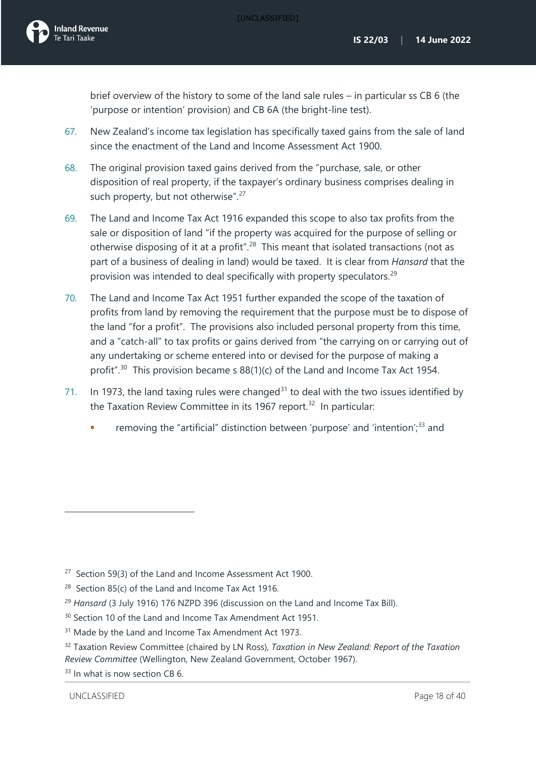brief overview of the history to some of the land sale rules – in particular ss CB 6 (the 'purpose or intention' provision) and CB 6A (the bright-line test).

- 67. New Zealand's income tax legislation has specifically taxed gains from the sale of land since the enactment of the Land and Income Assessment Act 1900.
- 68. The original provision taxed gains derived from the "purchase, sale, or other disposition of real property, if the taxpayer's ordinary business comprises dealing in such property, but not otherwise".<sup>[27](#page-18-0)</sup>
- 69. The Land and Income Tax Act 1916 expanded this scope to also tax profits from the sale or disposition of land "if the property was acquired for the purpose of selling or otherwise disposing of it at a profit".<sup>28</sup> This meant that isolated transactions (not as part of a business of dealing in land) would be taxed. It is clear from *Hansard* that the provision was intended to deal specifically with property speculators.<sup>[29](#page-18-2)</sup>
- 70. The Land and Income Tax Act 1951 further expanded the scope of the taxation of profits from land by removing the requirement that the purpose must be to dispose of the land "for a profit". The provisions also included personal property from this time, and a "catch-all" to tax profits or gains derived from "the carrying on or carrying out of any undertaking or scheme entered into or devised for the purpose of making a profit".<sup>[30](#page-18-3)</sup> This provision became s  $88(1)(c)$  of the Land and Income Tax Act 1954.
- 71. In 1973, the land taxing rules were changed<sup>[31](#page-18-4)</sup> to deal with the two issues identified by the Taxation Review Committee in its 1967 report.<sup>[32](#page-18-5)</sup> In particular:
	- removing the "artificial" distinction between 'purpose' and 'intention';<sup>[33](#page-18-6)</sup> and

<span id="page-18-2"></span><sup>29</sup> *Hansard* (3 July 1916) 176 NZPD 396 (discussion on the Land and Income Tax Bill).

- <span id="page-18-4"></span><sup>31</sup> Made by the Land and Income Tax Amendment Act 1973.
- <span id="page-18-5"></span><sup>32</sup> Taxation Review Committee (chaired by LN Ross), *Taxation in New Zealand: Report of the Taxation Review Committee* (Wellington, New Zealand Government, October 1967).

<span id="page-18-6"></span><sup>33</sup> In what is now section CB 6.

<span id="page-18-0"></span><sup>&</sup>lt;sup>27</sup> Section 59(3) of the Land and Income Assessment Act 1900.

<span id="page-18-1"></span><sup>&</sup>lt;sup>28</sup> Section 85(c) of the Land and Income Tax Act 1916.

<span id="page-18-3"></span><sup>&</sup>lt;sup>30</sup> Section 10 of the Land and Income Tax Amendment Act 1951.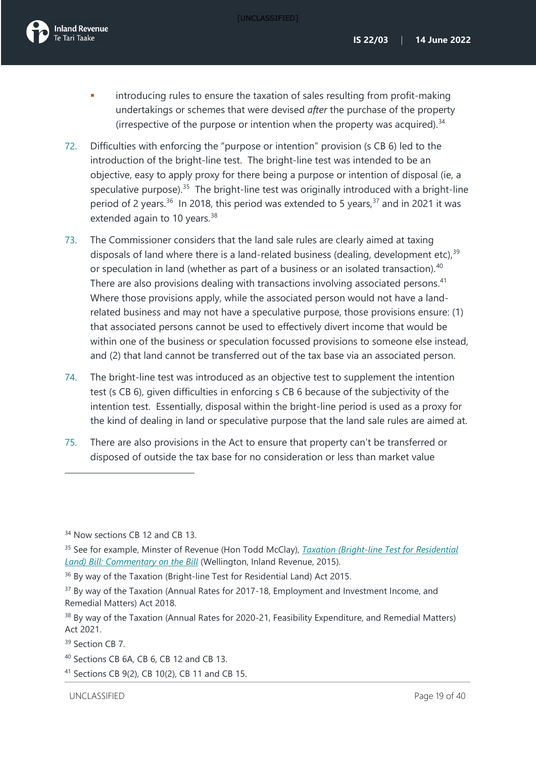

- introducing rules to ensure the taxation of sales resulting from profit-making undertakings or schemes that were devised *after* the purchase of the property (irrespective of the purpose or intention when the property was acquired). $34$
- 72. Difficulties with enforcing the "purpose or intention" provision (s CB 6) led to the introduction of the bright-line test. The bright-line test was intended to be an objective, easy to apply proxy for there being a purpose or intention of disposal (ie, a speculative purpose). $35$  The bright-line test was originally introduced with a bright-line period of 2 years.<sup>[36](#page-19-2)</sup> In 2018, this period was extended to 5 years,<sup>[37](#page-19-3)</sup> and in 2021 it was extended again to 10 years.<sup>[38](#page-19-4)</sup>
- 73. The Commissioner considers that the land sale rules are clearly aimed at taxing disposals of land where there is a land-related business (dealing, development etc),  $39$ or speculation in land (whether as part of a business or an isolated transaction).<sup>[40](#page-19-6)</sup> There are also provisions dealing with transactions involving associated persons.<sup>[41](#page-19-7)</sup> Where those provisions apply, while the associated person would not have a landrelated business and may not have a speculative purpose, those provisions ensure: (1) that associated persons cannot be used to effectively divert income that would be within one of the business or speculation focussed provisions to someone else instead, and (2) that land cannot be transferred out of the tax base via an associated person.
- 74. The bright-line test was introduced as an objective test to supplement the intention test (s CB 6), given difficulties in enforcing s CB 6 because of the subjectivity of the intention test. Essentially, disposal within the bright-line period is used as a proxy for the kind of dealing in land or speculative purpose that the land sale rules are aimed at.
- 75. There are also provisions in the Act to ensure that property can't be transferred or disposed of outside the tax base for no consideration or less than market value

<span id="page-19-0"></span><sup>&</sup>lt;sup>34</sup> Now sections CB 12 and CB 13.

<span id="page-19-1"></span><sup>35</sup> See for example, Minster of Revenue (Hon Todd McClay), *[Taxation \(Bright-line Test for Residential](https://taxpolicy.ird.govt.nz/publications/2015/2015-commentary-bltrl)  [Land\) Bill:](https://taxpolicy.ird.govt.nz/publications/2015/2015-commentary-bltrl) Commentary on the Bill* (Wellington, Inland Revenue, 2015).

<span id="page-19-2"></span><sup>&</sup>lt;sup>36</sup> By way of the Taxation (Bright-line Test for Residential Land) Act 2015.

<span id="page-19-3"></span><sup>&</sup>lt;sup>37</sup> By way of the Taxation (Annual Rates for 2017-18, Employment and Investment Income, and Remedial Matters) Act 2018.

<span id="page-19-4"></span><sup>&</sup>lt;sup>38</sup> By way of the Taxation (Annual Rates for 2020-21, Feasibility Expenditure, and Remedial Matters) Act 2021.

<span id="page-19-5"></span><sup>&</sup>lt;sup>39</sup> Section CB 7.

<span id="page-19-6"></span><sup>40</sup> Sections CB 6A, CB 6, CB 12 and CB 13.

<span id="page-19-7"></span><sup>41</sup> Sections CB 9(2), CB 10(2), CB 11 and CB 15.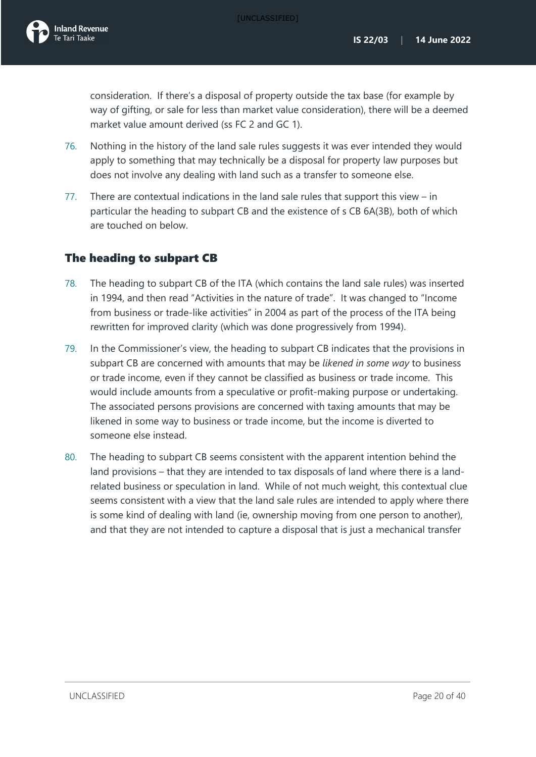consideration. If there's a disposal of property outside the tax base (for example by way of gifting, or sale for less than market value consideration), there will be a deemed market value amount derived (ss FC 2 and GC 1).

- 76. Nothing in the history of the land sale rules suggests it was ever intended they would apply to something that may technically be a disposal for property law purposes but does not involve any dealing with land such as a transfer to someone else.
- 77. There are contextual indications in the land sale rules that support this view in particular the heading to subpart CB and the existence of s CB 6A(3B), both of which are touched on below.

## The heading to subpart CB

- 78. The heading to subpart CB of the ITA (which contains the land sale rules) was inserted in 1994, and then read "Activities in the nature of trade". It was changed to "Income from business or trade-like activities" in 2004 as part of the process of the ITA being rewritten for improved clarity (which was done progressively from 1994).
- 79. In the Commissioner's view, the heading to subpart CB indicates that the provisions in subpart CB are concerned with amounts that may be *likened in some way* to business or trade income, even if they cannot be classified as business or trade income. This would include amounts from a speculative or profit-making purpose or undertaking. The associated persons provisions are concerned with taxing amounts that may be likened in some way to business or trade income, but the income is diverted to someone else instead.
- 80. The heading to subpart CB seems consistent with the apparent intention behind the land provisions – that they are intended to tax disposals of land where there is a landrelated business or speculation in land. While of not much weight, this contextual clue seems consistent with a view that the land sale rules are intended to apply where there is some kind of dealing with land (ie, ownership moving from one person to another), and that they are not intended to capture a disposal that is just a mechanical transfer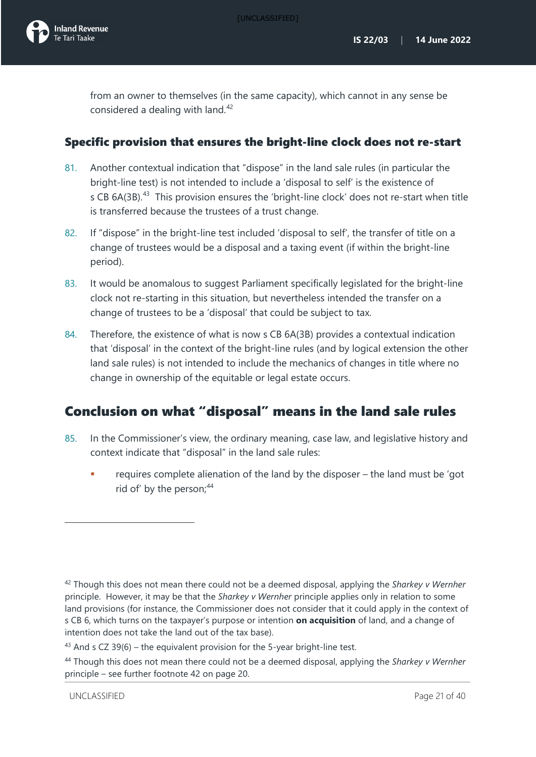<span id="page-21-1"></span>from an owner to themselves (in the same capacity), which cannot in any sense be considered a dealing with land.<sup>[42](#page-21-3)</sup>

## Specific provision that ensures the bright-line clock does not re-start

- 81. Another contextual indication that "dispose" in the land sale rules (in particular the bright-line test) is not intended to include a 'disposal to self' is the existence of s CB 6A(3B).<sup>[43](#page-21-4)</sup> This provision ensures the 'bright-line clock' does not re-start when title is transferred because the trustees of a trust change.
- 82. If "dispose" in the bright-line test included 'disposal to self', the transfer of title on a change of trustees would be a disposal and a taxing event (if within the bright-line period).
- 83. It would be anomalous to suggest Parliament specifically legislated for the bright-line clock not re-starting in this situation, but nevertheless intended the transfer on a change of trustees to be a 'disposal' that could be subject to tax.
- 84. Therefore, the existence of what is now s CB 6A(3B) provides a contextual indication that 'disposal' in the context of the bright-line rules (and by logical extension the other land sale rules) is not intended to include the mechanics of changes in title where no change in ownership of the equitable or legal estate occurs.

## <span id="page-21-0"></span>Conclusion on what "disposal" means in the land sale rules

- <span id="page-21-6"></span>85. In the Commissioner's view, the ordinary meaning, case law, and legislative history and context indicate that "disposal" in the land sale rules:
	- requires complete alienation of the land by the disposer the land must be 'got rid of' by the person;<sup>[44](#page-21-5)</sup>

<span id="page-21-3"></span><span id="page-21-2"></span><sup>42</sup> Though this does not mean there could not be a deemed disposal, applying the *Sharkey v Wernher* principle. However, it may be that the *Sharkey v Wernher* principle applies only in relation to some land provisions (for instance, the Commissioner does not consider that it could apply in the context of s CB 6, which turns on the taxpayer's purpose or intention **on acquisition** of land, and a change of intention does not take the land out of the tax base).

<span id="page-21-4"></span> $43$  And s CZ 39(6) – the equivalent provision for the 5-year bright-line test.

<span id="page-21-5"></span><sup>44</sup> Though this does not mean there could not be a deemed disposal, applying the *Sharkey v Wernher* principle – see further footnote [42](#page-21-1) on page [20.](#page-21-2)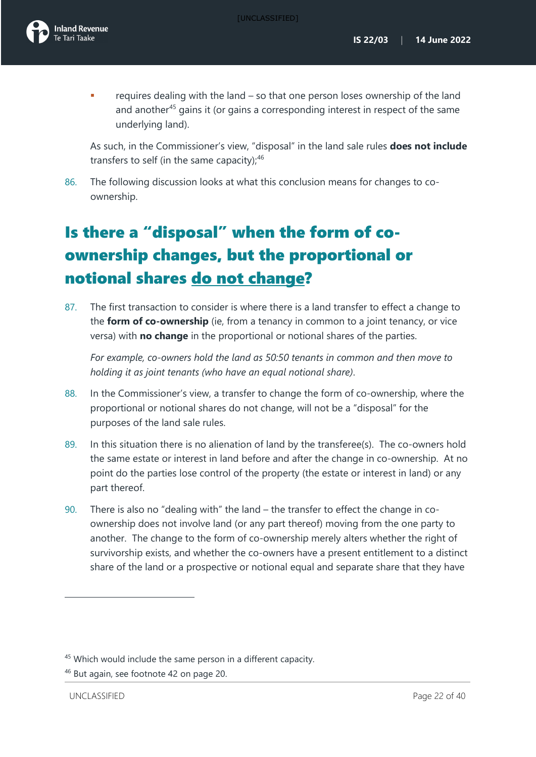

 requires dealing with the land – so that one person loses ownership of the land and another<sup>[45](#page-22-1)</sup> gains it (or gains a corresponding interest in respect of the same underlying land).

As such, in the Commissioner's view, "disposal" in the land sale rules **does not include** transfers to self (in the same capacity); $46$ 

86. The following discussion looks at what this conclusion means for changes to coownership.

# <span id="page-22-0"></span>Is there a "disposal" when the form of coownership changes, but the proportional or notional shares do not change?

87. The first transaction to consider is where there is a land transfer to effect a change to the **form of co-ownership** (ie, from a tenancy in common to a joint tenancy, or vice versa) with **no change** in the proportional or notional shares of the parties.

*For example, co-owners hold the land as 50:50 tenants in common and then move to holding it as joint tenants (who have an equal notional share)*.

- 88. In the Commissioner's view, a transfer to change the form of co-ownership, where the proportional or notional shares do not change, will not be a "disposal" for the purposes of the land sale rules.
- 89. In this situation there is no alienation of land by the transferee(s). The co-owners hold the same estate or interest in land before and after the change in co-ownership. At no point do the parties lose control of the property (the estate or interest in land) or any part thereof.
- 90. There is also no "dealing with" the land the transfer to effect the change in coownership does not involve land (or any part thereof) moving from the one party to another. The change to the form of co-ownership merely alters whether the right of survivorship exists, and whether the co-owners have a present entitlement to a distinct share of the land or a prospective or notional equal and separate share that they have

<span id="page-22-1"></span><sup>45</sup> Which would include the same person in a different capacity.

<span id="page-22-2"></span><sup>46</sup> But again, see footnote [42](#page-21-1) on page [20.](#page-21-2)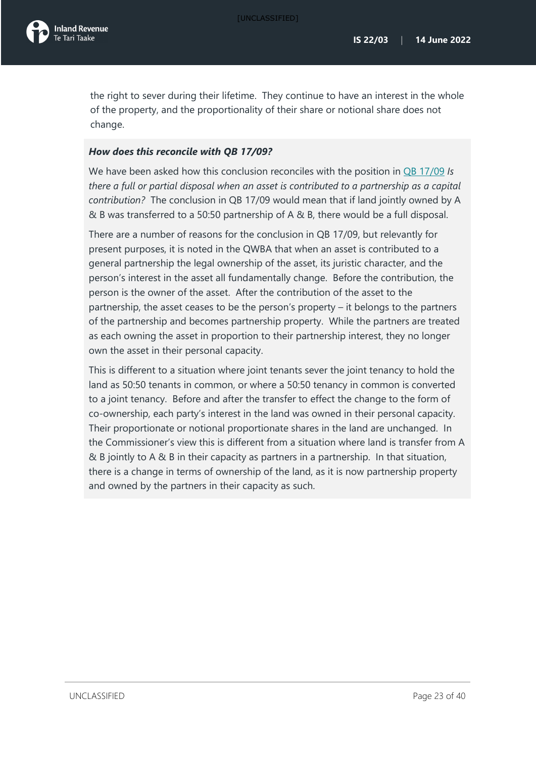

the right to sever during their lifetime. They continue to have an interest in the whole of the property, and the proportionality of their share or notional share does not change.

### *How does this reconcile with QB 17/09?*

We have been asked how this conclusion reconciles with the position in QB [17/09](https://www.taxtechnical.ird.govt.nz/en/questions-we-ve-been-asked/2017/qb1709-qb-1709-is-there-a-full-or-partial-disposal-when-an-asset-is-contributed-to-a-partnership-as-) *Is there a full or partial disposal when an asset is contributed to a partnership as a capital contribution?* The conclusion in QB 17/09 would mean that if land jointly owned by A & B was transferred to a 50:50 partnership of A & B, there would be a full disposal.

There are a number of reasons for the conclusion in QB 17/09, but relevantly for present purposes, it is noted in the QWBA that when an asset is contributed to a general partnership the legal ownership of the asset, its juristic character, and the person's interest in the asset all fundamentally change. Before the contribution, the person is the owner of the asset. After the contribution of the asset to the partnership, the asset ceases to be the person's property – it belongs to the partners of the partnership and becomes partnership property. While the partners are treated as each owning the asset in proportion to their partnership interest, they no longer own the asset in their personal capacity.

This is different to a situation where joint tenants sever the joint tenancy to hold the land as 50:50 tenants in common, or where a 50:50 tenancy in common is converted to a joint tenancy. Before and after the transfer to effect the change to the form of co-ownership, each party's interest in the land was owned in their personal capacity. Their proportionate or notional proportionate shares in the land are unchanged. In the Commissioner's view this is different from a situation where land is transfer from A & B jointly to A & B in their capacity as partners in a partnership. In that situation, there is a change in terms of ownership of the land, as it is now partnership property and owned by the partners in their capacity as such.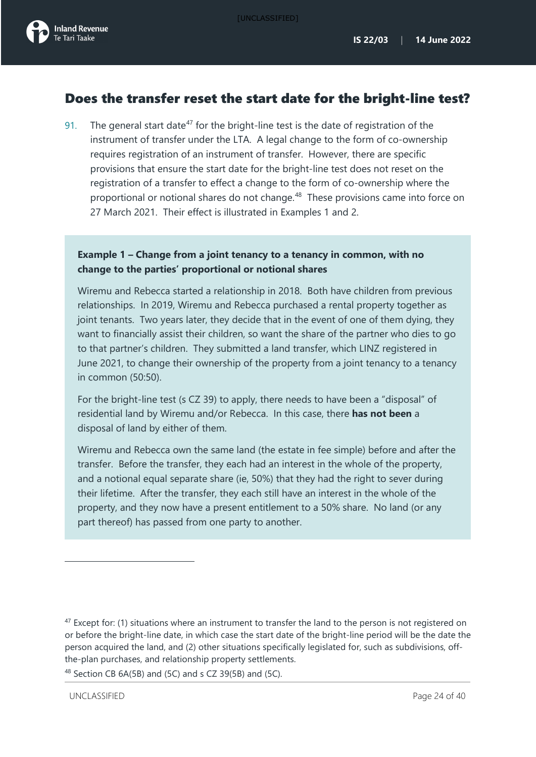## <span id="page-24-0"></span>Does the transfer reset the start date for the bright-line test?

<span id="page-24-3"></span>91. The general start date<sup>[47](#page-24-1)</sup> for the bright-line test is the date of registration of the instrument of transfer under the LTA. A legal change to the form of co-ownership requires registration of an instrument of transfer. However, there are specific provisions that ensure the start date for the bright-line test does not reset on the registration of a transfer to effect a change to the form of co-ownership where the proportional or notional shares do not change. [48](#page-24-2) These provisions came into force on 27 March 2021. Their effect is illustrated in Examples 1 and 2.

## **Example 1 – Change from a joint tenancy to a tenancy in common, with no change to the parties' proportional or notional shares**

Wiremu and Rebecca started a relationship in 2018. Both have children from previous relationships. In 2019, Wiremu and Rebecca purchased a rental property together as joint tenants. Two years later, they decide that in the event of one of them dying, they want to financially assist their children, so want the share of the partner who dies to go to that partner's children. They submitted a land transfer, which LINZ registered in June 2021, to change their ownership of the property from a joint tenancy to a tenancy in common (50:50).

For the bright-line test (s CZ 39) to apply, there needs to have been a "disposal" of residential land by Wiremu and/or Rebecca. In this case, there **has not been** a disposal of land by either of them.

Wiremu and Rebecca own the same land (the estate in fee simple) before and after the transfer. Before the transfer, they each had an interest in the whole of the property, and a notional equal separate share (ie, 50%) that they had the right to sever during their lifetime. After the transfer, they each still have an interest in the whole of the property, and they now have a present entitlement to a 50% share. No land (or any part thereof) has passed from one party to another.

<span id="page-24-2"></span><sup>48</sup> Section CB 6A(5B) and (5C) and s CZ 39(5B) and (5C).

<span id="page-24-4"></span><span id="page-24-1"></span> $47$  Except for: (1) situations where an instrument to transfer the land to the person is not registered on or before the bright-line date, in which case the start date of the bright-line period will be the date the person acquired the land, and (2) other situations specifically legislated for, such as subdivisions, offthe-plan purchases, and relationship property settlements.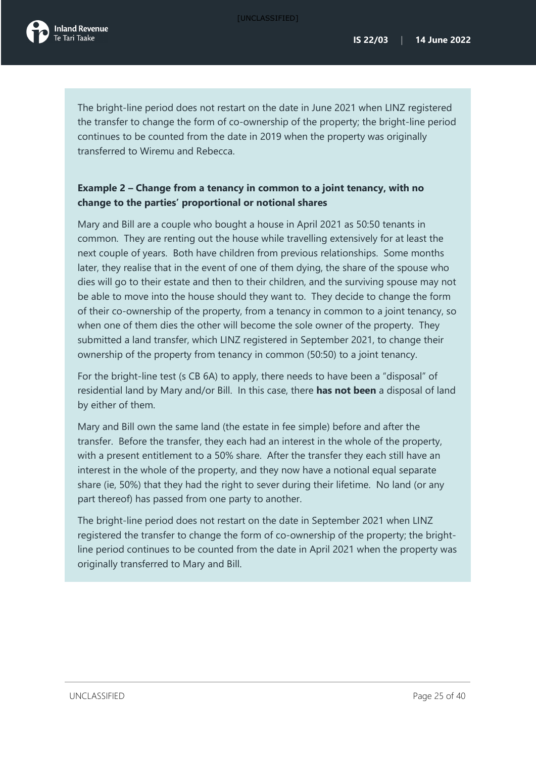[UNCLASSIFIED]

The bright-line period does not restart on the date in June 2021 when LINZ registered the transfer to change the form of co-ownership of the property; the bright-line period continues to be counted from the date in 2019 when the property was originally transferred to Wiremu and Rebecca.

## **Example 2 – Change from a tenancy in common to a joint tenancy, with no change to the parties' proportional or notional shares**

Mary and Bill are a couple who bought a house in April 2021 as 50:50 tenants in common. They are renting out the house while travelling extensively for at least the next couple of years. Both have children from previous relationships. Some months later, they realise that in the event of one of them dying, the share of the spouse who dies will go to their estate and then to their children, and the surviving spouse may not be able to move into the house should they want to. They decide to change the form of their co-ownership of the property, from a tenancy in common to a joint tenancy, so when one of them dies the other will become the sole owner of the property. They submitted a land transfer, which LINZ registered in September 2021, to change their ownership of the property from tenancy in common (50:50) to a joint tenancy.

For the bright-line test (s CB 6A) to apply, there needs to have been a "disposal" of residential land by Mary and/or Bill. In this case, there **has not been** a disposal of land by either of them.

Mary and Bill own the same land (the estate in fee simple) before and after the transfer. Before the transfer, they each had an interest in the whole of the property, with a present entitlement to a 50% share. After the transfer they each still have an interest in the whole of the property, and they now have a notional equal separate share (ie, 50%) that they had the right to sever during their lifetime. No land (or any part thereof) has passed from one party to another.

The bright-line period does not restart on the date in September 2021 when LINZ registered the transfer to change the form of co-ownership of the property; the brightline period continues to be counted from the date in April 2021 when the property was originally transferred to Mary and Bill.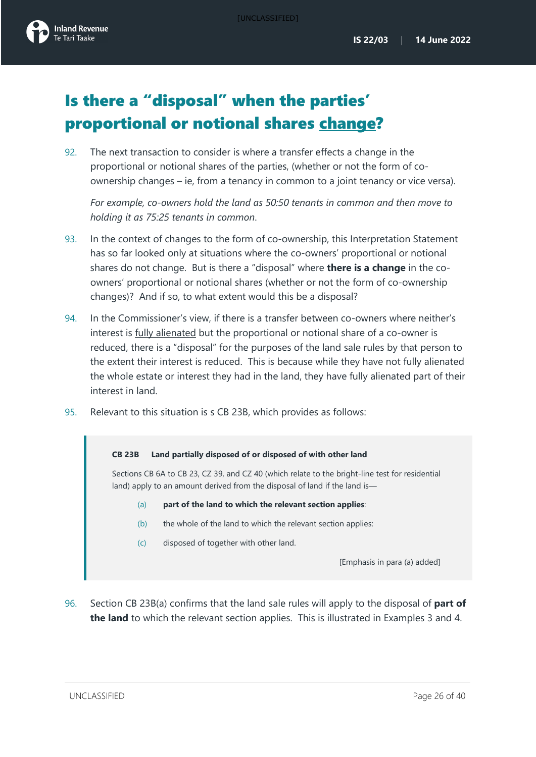

# <span id="page-26-0"></span>Is there a "disposal" when the parties' proportional or notional shares change?

92. The next transaction to consider is where a transfer effects a change in the proportional or notional shares of the parties, (whether or not the form of coownership changes – ie, from a tenancy in common to a joint tenancy or vice versa).

*For example, co-owners hold the land as 50:50 tenants in common and then move to holding it as 75:25 tenants in common*.

- 93. In the context of changes to the form of co-ownership, this Interpretation Statement has so far looked only at situations where the co-owners' proportional or notional shares do not change. But is there a "disposal" where **there is a change** in the coowners' proportional or notional shares (whether or not the form of co-ownership changes)? And if so, to what extent would this be a disposal?
- 94. In the Commissioner's view, if there is a transfer between co-owners where neither's interest is fully alienated but the proportional or notional share of a co-owner is reduced, there is a "disposal" for the purposes of the land sale rules by that person to the extent their interest is reduced. This is because while they have not fully alienated the whole estate or interest they had in the land, they have fully alienated part of their interest in land.
- 95. Relevant to this situation is s CB 23B, which provides as follows:

#### **CB 23B Land partially disposed of or disposed of with other land**

Sections CB 6A to CB 23, CZ 39, and CZ 40 (which relate to the bright-line test for residential land) apply to an amount derived from the disposal of land if the land is-

- (a) **part of the land to which the relevant section applies**:
- (b) the whole of the land to which the relevant section applies:
- (c) disposed of together with other land.

[Emphasis in para (a) added]

96. Section CB 23B(a) confirms that the land sale rules will apply to the disposal of **part of the land** to which the relevant section applies. This is illustrated in Examples 3 and 4.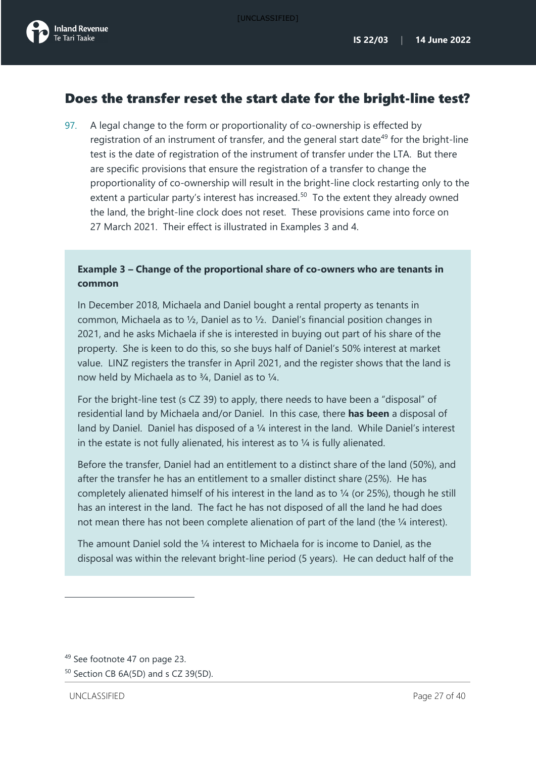## <span id="page-27-0"></span>Does the transfer reset the start date for the bright-line test?

97. A legal change to the form or proportionality of co-ownership is effected by registration of an instrument of transfer, and the general start date<sup>[49](#page-27-1)</sup> for the bright-line test is the date of registration of the instrument of transfer under the LTA. But there are specific provisions that ensure the registration of a transfer to change the proportionality of co-ownership will result in the bright-line clock restarting only to the extent a particular party's interest has increased.<sup>[50](#page-27-2)</sup> To the extent they already owned the land, the bright-line clock does not reset. These provisions came into force on 27 March 2021. Their effect is illustrated in Examples 3 and 4.

## **Example 3 – Change of the proportional share of co-owners who are tenants in common**

In December 2018, Michaela and Daniel bought a rental property as tenants in common, Michaela as to ½, Daniel as to ½. Daniel's financial position changes in 2021, and he asks Michaela if she is interested in buying out part of his share of the property. She is keen to do this, so she buys half of Daniel's 50% interest at market value. LINZ registers the transfer in April 2021, and the register shows that the land is now held by Michaela as to ¾, Daniel as to ¼.

For the bright-line test (s CZ 39) to apply, there needs to have been a "disposal" of residential land by Michaela and/or Daniel. In this case, there **has been** a disposal of land by Daniel. Daniel has disposed of a 1/4 interest in the land. While Daniel's interest in the estate is not fully alienated, his interest as to  $\frac{1}{4}$  is fully alienated.

Before the transfer, Daniel had an entitlement to a distinct share of the land (50%), and after the transfer he has an entitlement to a smaller distinct share (25%). He has completely alienated himself of his interest in the land as to ¼ (or 25%), though he still has an interest in the land. The fact he has not disposed of all the land he had does not mean there has not been complete alienation of part of the land (the 1/4 interest).

The amount Daniel sold the ¼ interest to Michaela for is income to Daniel, as the disposal was within the relevant bright-line period (5 years). He can deduct half of the

<span id="page-27-1"></span><sup>49</sup> See footnote [47](#page-24-3) on page 23.

<span id="page-27-2"></span><sup>50</sup> Section CB 6A(5D) and s CZ 39(5D).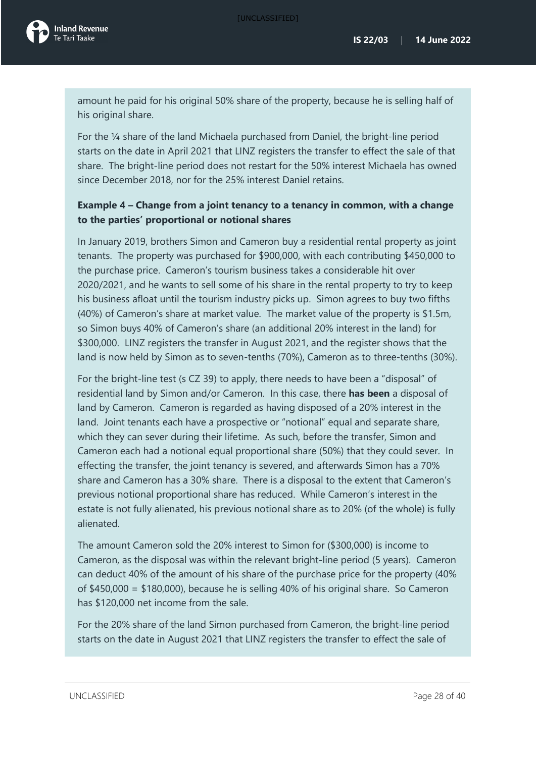amount he paid for his original 50% share of the property, because he is selling half of his original share.

For the ¼ share of the land Michaela purchased from Daniel, the bright-line period starts on the date in April 2021 that LINZ registers the transfer to effect the sale of that share. The bright-line period does not restart for the 50% interest Michaela has owned since December 2018, nor for the 25% interest Daniel retains.

### **Example 4 – Change from a joint tenancy to a tenancy in common, with a change to the parties' proportional or notional shares**

In January 2019, brothers Simon and Cameron buy a residential rental property as joint tenants. The property was purchased for \$900,000, with each contributing \$450,000 to the purchase price. Cameron's tourism business takes a considerable hit over 2020/2021, and he wants to sell some of his share in the rental property to try to keep his business afloat until the tourism industry picks up. Simon agrees to buy two fifths (40%) of Cameron's share at market value. The market value of the property is \$1.5m, so Simon buys 40% of Cameron's share (an additional 20% interest in the land) for \$300,000. LINZ registers the transfer in August 2021, and the register shows that the land is now held by Simon as to seven-tenths (70%), Cameron as to three-tenths (30%).

For the bright-line test (s CZ 39) to apply, there needs to have been a "disposal" of residential land by Simon and/or Cameron. In this case, there **has been** a disposal of land by Cameron. Cameron is regarded as having disposed of a 20% interest in the land. Joint tenants each have a prospective or "notional" equal and separate share, which they can sever during their lifetime. As such, before the transfer, Simon and Cameron each had a notional equal proportional share (50%) that they could sever. In effecting the transfer, the joint tenancy is severed, and afterwards Simon has a 70% share and Cameron has a 30% share. There is a disposal to the extent that Cameron's previous notional proportional share has reduced. While Cameron's interest in the estate is not fully alienated, his previous notional share as to 20% (of the whole) is fully alienated.

The amount Cameron sold the 20% interest to Simon for (\$300,000) is income to Cameron, as the disposal was within the relevant bright-line period (5 years). Cameron can deduct 40% of the amount of his share of the purchase price for the property (40% of \$450,000 = \$180,000), because he is selling 40% of his original share. So Cameron has \$120,000 net income from the sale.

For the 20% share of the land Simon purchased from Cameron, the bright-line period starts on the date in August 2021 that LINZ registers the transfer to effect the sale of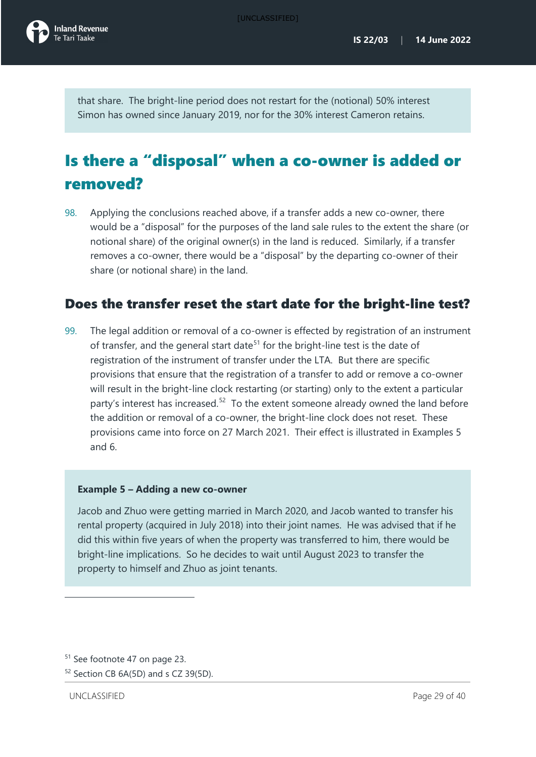

that share. The bright-line period does not restart for the (notional) 50% interest Simon has owned since January 2019, nor for the 30% interest Cameron retains.

# <span id="page-29-0"></span>Is there a "disposal" when a co-owner is added or removed?

98. Applying the conclusions reached above, if a transfer adds a new co-owner, there would be a "disposal" for the purposes of the land sale rules to the extent the share (or notional share) of the original owner(s) in the land is reduced. Similarly, if a transfer removes a co-owner, there would be a "disposal" by the departing co-owner of their share (or notional share) in the land.

## <span id="page-29-1"></span>Does the transfer reset the start date for the bright-line test?

99. The legal addition or removal of a co-owner is effected by registration of an instrument of transfer, and the general start date<sup>[51](#page-29-2)</sup> for the bright-line test is the date of registration of the instrument of transfer under the LTA. But there are specific provisions that ensure that the registration of a transfer to add or remove a co-owner will result in the bright-line clock restarting (or starting) only to the extent a particular party's interest has increased.<sup>52</sup> To the extent someone already owned the land before the addition or removal of a co-owner, the bright-line clock does not reset. These provisions came into force on 27 March 2021. Their effect is illustrated in Examples 5 and 6.

### **Example 5 – Adding a new co-owner**

Jacob and Zhuo were getting married in March 2020, and Jacob wanted to transfer his rental property (acquired in July 2018) into their joint names. He was advised that if he did this within five years of when the property was transferred to him, there would be bright-line implications. So he decides to wait until August 2023 to transfer the property to himself and Zhuo as joint tenants.

<span id="page-29-2"></span><sup>51</sup> See footnote [47](#page-24-3) on page [23.](#page-24-4) 

<span id="page-29-3"></span><sup>52</sup> Section CB 6A(5D) and s CZ 39(5D).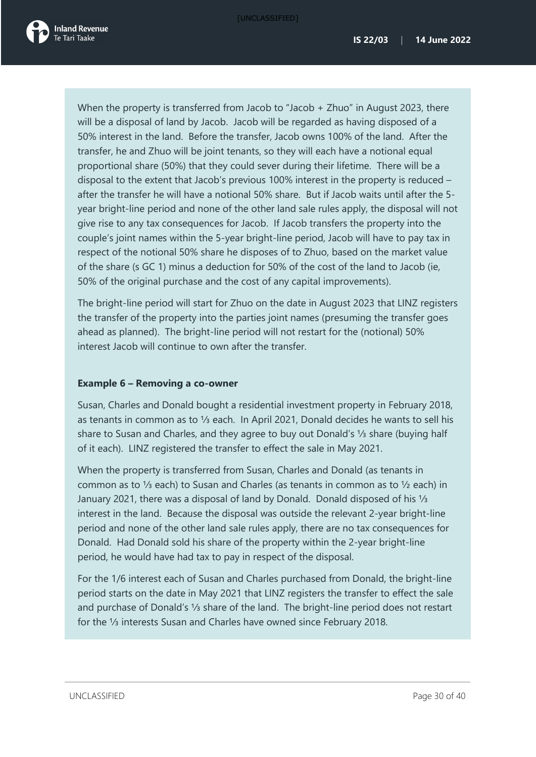

When the property is transferred from Jacob to "Jacob + Zhuo" in August 2023, there will be a disposal of land by Jacob. Jacob will be regarded as having disposed of a 50% interest in the land. Before the transfer, Jacob owns 100% of the land. After the transfer, he and Zhuo will be joint tenants, so they will each have a notional equal proportional share (50%) that they could sever during their lifetime. There will be a disposal to the extent that Jacob's previous 100% interest in the property is reduced – after the transfer he will have a notional 50% share. But if Jacob waits until after the 5 year bright-line period and none of the other land sale rules apply, the disposal will not give rise to any tax consequences for Jacob. If Jacob transfers the property into the couple's joint names within the 5-year bright-line period, Jacob will have to pay tax in respect of the notional 50% share he disposes of to Zhuo, based on the market value of the share (s GC 1) minus a deduction for 50% of the cost of the land to Jacob (ie, 50% of the original purchase and the cost of any capital improvements).

The bright-line period will start for Zhuo on the date in August 2023 that LINZ registers the transfer of the property into the parties joint names (presuming the transfer goes ahead as planned). The bright-line period will not restart for the (notional) 50% interest Jacob will continue to own after the transfer.

### **Example 6 – Removing a co-owner**

Susan, Charles and Donald bought a residential investment property in February 2018, as tenants in common as to ⅓ each. In April 2021, Donald decides he wants to sell his share to Susan and Charles, and they agree to buy out Donald's ⅓ share (buying half of it each). LINZ registered the transfer to effect the sale in May 2021.

When the property is transferred from Susan, Charles and Donald (as tenants in common as to ⅓ each) to Susan and Charles (as tenants in common as to ½ each) in January 2021, there was a disposal of land by Donald. Donald disposed of his ⅓ interest in the land. Because the disposal was outside the relevant 2-year bright-line period and none of the other land sale rules apply, there are no tax consequences for Donald. Had Donald sold his share of the property within the 2-year bright-line period, he would have had tax to pay in respect of the disposal.

For the 1/6 interest each of Susan and Charles purchased from Donald, the bright-line period starts on the date in May 2021 that LINZ registers the transfer to effect the sale and purchase of Donald's ⅓ share of the land. The bright-line period does not restart for the ⅓ interests Susan and Charles have owned since February 2018.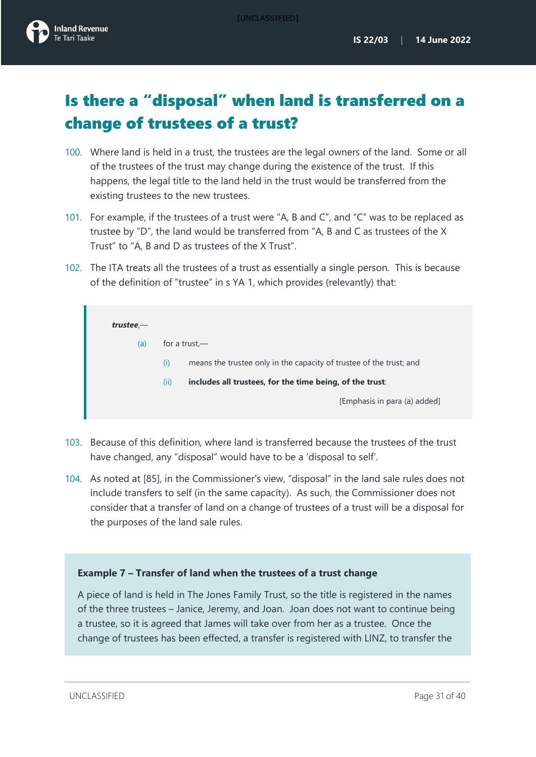# <span id="page-31-0"></span>Is there a "disposal" when land is transferred on a change of trustees of a trust?

- 100. Where land is held in a trust, the trustees are the legal owners of the land. Some or all of the trustees of the trust may change during the existence of the trust. If this happens, the legal title to the land held in the trust would be transferred from the existing trustees to the new trustees.
- 101. For example, if the trustees of a trust were "A, B and C", and "C" was to be replaced as trustee by "D", the land would be transferred from "A, B and C as trustees of the X Trust" to "A, B and D as trustees of the X Trust".
- 102. The ITA treats all the trustees of a trust as essentially a single person. This is because of the definition of "trustee" in s YA 1, which provides (relevantly) that:

| $true$ – |                                                                            |  |  |
|----------|----------------------------------------------------------------------------|--|--|
| (a)      | for a trust.—                                                              |  |  |
|          | means the trustee only in the capacity of trustee of the trust; and<br>(i) |  |  |
|          | (ii)<br>includes all trustees, for the time being, of the trust:           |  |  |
|          | [Emphasis in para (a) added]                                               |  |  |
|          |                                                                            |  |  |

- 103. Because of this definition, where land is transferred because the trustees of the trust have changed, any "disposal" would have to be a 'disposal to self'.
- 104. As noted at [\[85\]](#page-21-6), in the Commissioner's view, "disposal" in the land sale rules does not include transfers to self (in the same capacity). As such, the Commissioner does not consider that a transfer of land on a change of trustees of a trust will be a disposal for the purposes of the land sale rules.

### **Example 7 – Transfer of land when the trustees of a trust change**

A piece of land is held in The Jones Family Trust, so the title is registered in the names of the three trustees – Janice, Jeremy, and Joan. Joan does not want to continue being a trustee, so it is agreed that James will take over from her as a trustee. Once the change of trustees has been effected, a transfer is registered with LINZ, to transfer the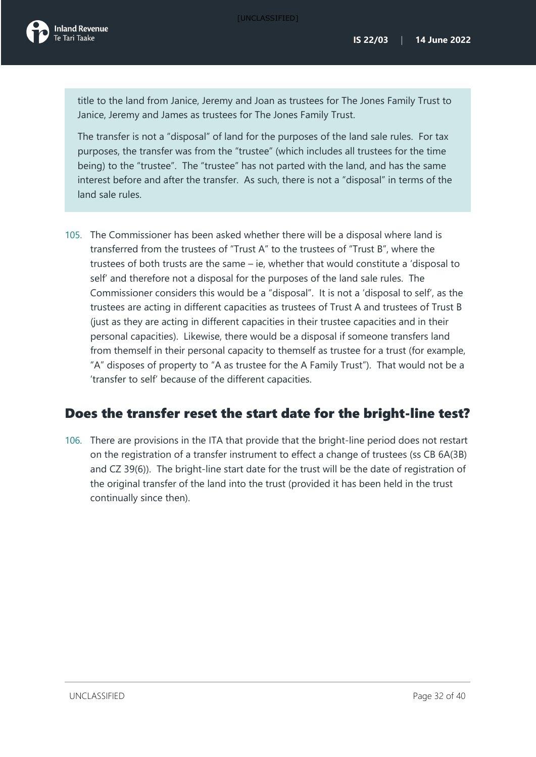title to the land from Janice, Jeremy and Joan as trustees for The Jones Family Trust to Janice, Jeremy and James as trustees for The Jones Family Trust.

The transfer is not a "disposal" of land for the purposes of the land sale rules. For tax purposes, the transfer was from the "trustee" (which includes all trustees for the time being) to the "trustee". The "trustee" has not parted with the land, and has the same interest before and after the transfer. As such, there is not a "disposal" in terms of the land sale rules.

105. The Commissioner has been asked whether there will be a disposal where land is transferred from the trustees of "Trust A" to the trustees of "Trust B", where the trustees of both trusts are the same – ie, whether that would constitute a 'disposal to self' and therefore not a disposal for the purposes of the land sale rules. The Commissioner considers this would be a "disposal". It is not a 'disposal to self', as the trustees are acting in different capacities as trustees of Trust A and trustees of Trust B (just as they are acting in different capacities in their trustee capacities and in their personal capacities). Likewise, there would be a disposal if someone transfers land from themself in their personal capacity to themself as trustee for a trust (for example, "A" disposes of property to "A as trustee for the A Family Trust"). That would not be a 'transfer to self' because of the different capacities.

## <span id="page-32-0"></span>Does the transfer reset the start date for the bright-line test?

106. There are provisions in the ITA that provide that the bright-line period does not restart on the registration of a transfer instrument to effect a change of trustees (ss CB 6A(3B) and CZ 39(6)). The bright-line start date for the trust will be the date of registration of the original transfer of the land into the trust (provided it has been held in the trust continually since then).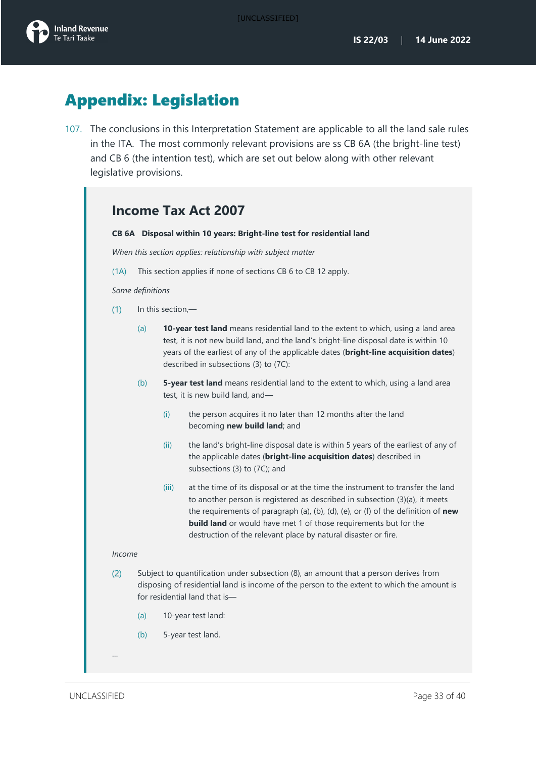

# <span id="page-33-0"></span>Appendix: Legislation

107. The conclusions in this Interpretation Statement are applicable to all the land sale rules in the ITA. The most commonly relevant provisions are ss CB 6A (the bright-line test) and CB 6 (the intention test), which are set out below along with other relevant legislative provisions.

|               |                   |                                                                                                                                                                                                                                                                                                              | CB 6A Disposal within 10 years: Bright-line test for residential land                                                                                                                                                                                                                                                                                                                           |  |
|---------------|-------------------|--------------------------------------------------------------------------------------------------------------------------------------------------------------------------------------------------------------------------------------------------------------------------------------------------------------|-------------------------------------------------------------------------------------------------------------------------------------------------------------------------------------------------------------------------------------------------------------------------------------------------------------------------------------------------------------------------------------------------|--|
|               |                   |                                                                                                                                                                                                                                                                                                              | When this section applies: relationship with subject matter                                                                                                                                                                                                                                                                                                                                     |  |
| (1A)          |                   |                                                                                                                                                                                                                                                                                                              | This section applies if none of sections CB 6 to CB 12 apply.                                                                                                                                                                                                                                                                                                                                   |  |
|               | Some definitions  |                                                                                                                                                                                                                                                                                                              |                                                                                                                                                                                                                                                                                                                                                                                                 |  |
| (1)           | In this section,- |                                                                                                                                                                                                                                                                                                              |                                                                                                                                                                                                                                                                                                                                                                                                 |  |
|               | (a)               | 10-year test land means residential land to the extent to which, using a land area<br>test, it is not new build land, and the land's bright-line disposal date is within 10<br>years of the earliest of any of the applicable dates (bright-line acquisition dates)<br>described in subsections (3) to (7C): |                                                                                                                                                                                                                                                                                                                                                                                                 |  |
|               | (b)               | 5-year test land means residential land to the extent to which, using a land area<br>test, it is new build land, and-                                                                                                                                                                                        |                                                                                                                                                                                                                                                                                                                                                                                                 |  |
|               |                   | (i)                                                                                                                                                                                                                                                                                                          | the person acquires it no later than 12 months after the land<br>becoming new build land; and                                                                                                                                                                                                                                                                                                   |  |
|               |                   | (ii)                                                                                                                                                                                                                                                                                                         | the land's bright-line disposal date is within 5 years of the earliest of any of<br>the applicable dates (bright-line acquisition dates) described in<br>subsections (3) to (7C); and                                                                                                                                                                                                           |  |
|               |                   | (iii)                                                                                                                                                                                                                                                                                                        | at the time of its disposal or at the time the instrument to transfer the land<br>to another person is registered as described in subsection (3)(a), it meets<br>the requirements of paragraph (a), (b), (d), (e), or (f) of the definition of new<br><b>build land</b> or would have met 1 of those requirements but for the<br>destruction of the relevant place by natural disaster or fire. |  |
| <i>Income</i> |                   |                                                                                                                                                                                                                                                                                                              |                                                                                                                                                                                                                                                                                                                                                                                                 |  |
| (2)           |                   |                                                                                                                                                                                                                                                                                                              | Subject to quantification under subsection (8), an amount that a person derives from<br>disposing of residential land is income of the person to the extent to which the amount is<br>for residential land that is-                                                                                                                                                                             |  |
|               | (a)               | 10-year test land:                                                                                                                                                                                                                                                                                           |                                                                                                                                                                                                                                                                                                                                                                                                 |  |
|               | (b)               |                                                                                                                                                                                                                                                                                                              | 5-year test land.                                                                                                                                                                                                                                                                                                                                                                               |  |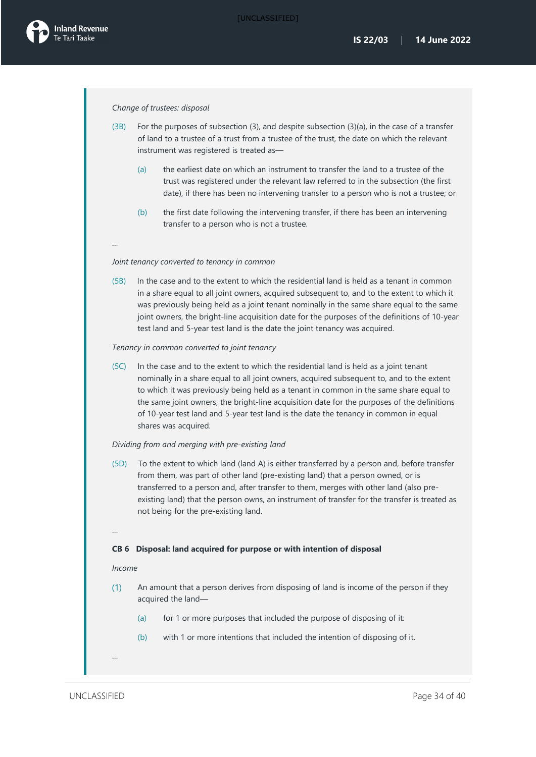#### *Change of trustees: disposal*

- (3B) For the purposes of subsection (3), and despite subsection (3)(a), in the case of a transfer of land to a trustee of a trust from a trustee of the trust, the date on which the relevant instrument was registered is treated as—
	- (a) the earliest date on which an instrument to transfer the land to a trustee of the trust was registered under the relevant law referred to in the subsection (the first date), if there has been no intervening transfer to a person who is not a trustee; or
	- (b) the first date following the intervening transfer, if there has been an intervening transfer to a person who is not a trustee.

### …

#### *Joint tenancy converted to tenancy in common*

(5B) In the case and to the extent to which the residential land is held as a tenant in common in a share equal to all joint owners, acquired subsequent to, and to the extent to which it was previously being held as a joint tenant nominally in the same share equal to the same joint owners, the bright-line acquisition date for the purposes of the definitions of 10-year test land and 5-year test land is the date the joint tenancy was acquired.

#### *Tenancy in common converted to joint tenancy*

(5C) In the case and to the extent to which the residential land is held as a joint tenant nominally in a share equal to all joint owners, acquired subsequent to, and to the extent to which it was previously being held as a tenant in common in the same share equal to the same joint owners, the bright-line acquisition date for the purposes of the definitions of 10-year test land and 5-year test land is the date the tenancy in common in equal shares was acquired.

#### *Dividing from and merging with pre-existing land*

(5D) To the extent to which land (land A) is either transferred by a person and, before transfer from them, was part of other land (pre-existing land) that a person owned, or is transferred to a person and, after transfer to them, merges with other land (also preexisting land) that the person owns, an instrument of transfer for the transfer is treated as not being for the pre-existing land.

#### …

…

#### **CB 6 Disposal: land acquired for purpose or with intention of disposal**

#### *Income*

- An amount that a person derives from disposing of land is income of the person if they  $(1)$ acquired the land—
	- (a) for 1 or more purposes that included the purpose of disposing of it:
	- (b) with 1 or more intentions that included the intention of disposing of it.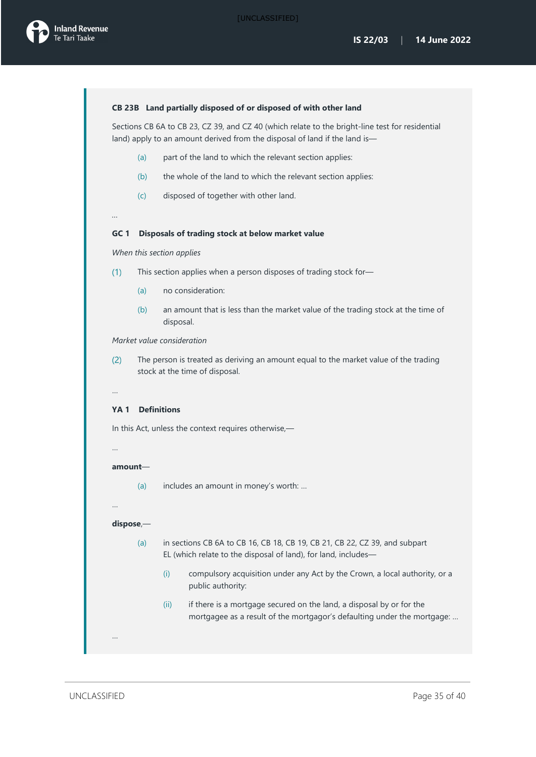#### **CB 23B Land partially disposed of or disposed of with other land**

Sections CB 6A to CB 23, CZ 39, and CZ 40 (which relate to the bright-line test for residential land) apply to an amount derived from the disposal of land if the land is-

- (a) part of the land to which the relevant section applies:
- (b) the whole of the land to which the relevant section applies:
- (c) disposed of together with other land.

#### **GC 1 Disposals of trading stock at below market value**

*When this section applies*

- $(1)$ This section applies when a person disposes of trading stock for—
	- (a) no consideration:
	- (b) an amount that is less than the market value of the trading stock at the time of disposal.

#### *Market value consideration*

The person is treated as deriving an amount equal to the market value of the trading  $(2)$ stock at the time of disposal.

### …

*…* 

#### **YA 1 Definitions**

In this Act, unless the context requires otherwise,—

# …

**amount**—

(a) includes an amount in money's worth: …

…

…

#### **dispose**,—

- (a) in sections CB 6A to CB 16, CB 18, CB 19, CB 21, CB 22, CZ 39, and subpart EL (which relate to the disposal of land), for land, includes—
	- (i) compulsory acquisition under any Act by the Crown, a local authority, or a public authority:
	- (ii) if there is a mortgage secured on the land, a disposal by or for the mortgagee as a result of the mortgagor's defaulting under the mortgage: …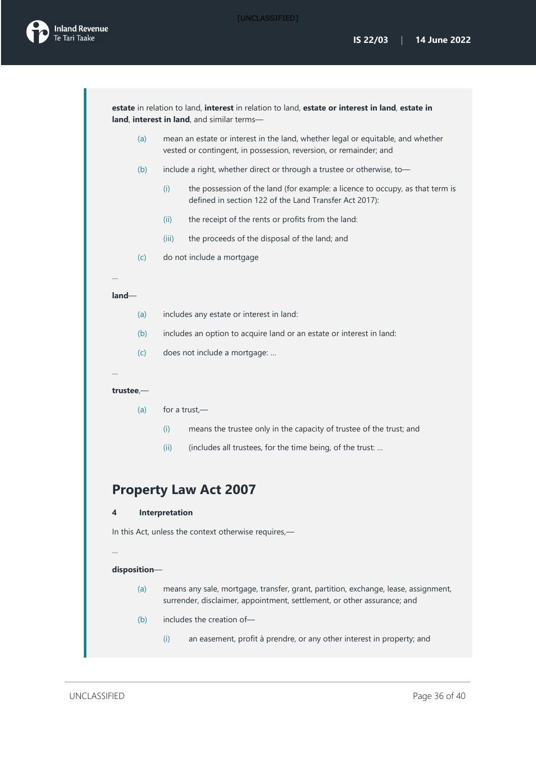

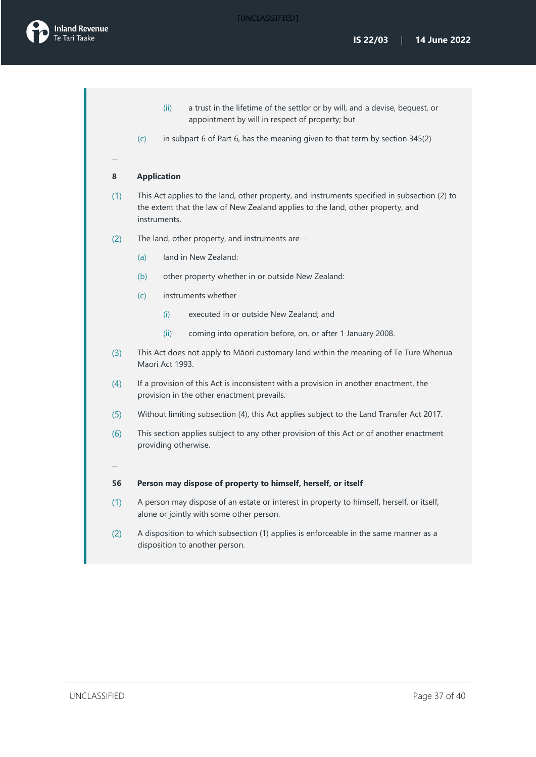

- (ii) a trust in the lifetime of the settlor or by will, and a devise, bequest, or appointment by will in respect of property; but
- (c) in subpart 6 of Part 6, has the meaning given to that term by section 345(2)

#### **8 Application**

…

- $(1)$ This Act applies to the land, other property, and instruments specified in subsection (2) to the extent that the law of New Zealand applies to the land, other property, and instruments.
- $(2)$ The land, other property, and instruments are—
	- (a) land in New Zealand:
	- (b) other property whether in or outside New Zealand:
	- (c) instruments whether—
		- (i) executed in or outside New Zealand; and
		- (ii) coming into operation before, on, or after 1 January 2008.
- $(3)$ This Act does not apply to Māori customary land within the meaning of Te Ture Whenua Maori Act 1993.
- $(4)$ If a provision of this Act is inconsistent with a provision in another enactment, the provision in the other enactment prevails.
- $(5)$ Without limiting subsection (4), this Act applies subject to the Land Transfer Act 2017.
- $(6)$ This section applies subject to any other provision of this Act or of another enactment providing otherwise.
- 

…

#### **56 Person may dispose of property to himself, herself, or itself**

- $(1)$ A person may dispose of an estate or interest in property to himself, herself, or itself, alone or jointly with some other person.
- A disposition to which subsection (1) applies is enforceable in the same manner as a  $(2)$ disposition to another person.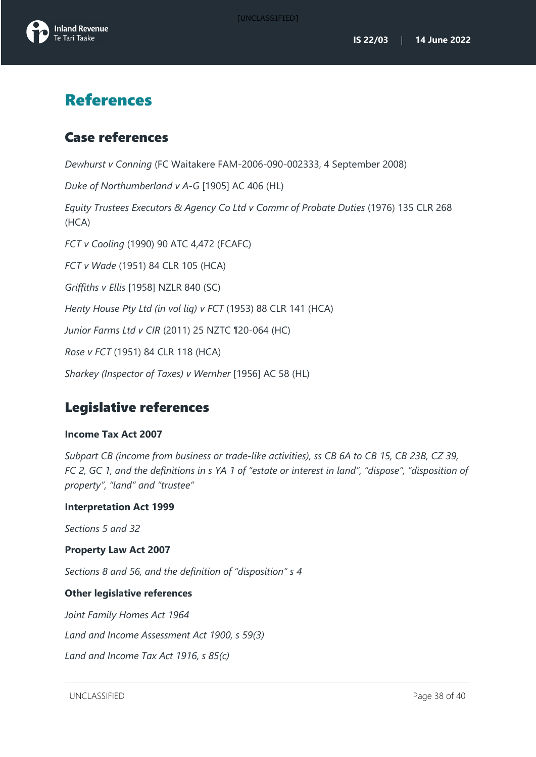

# <span id="page-38-0"></span>References

## <span id="page-38-1"></span>Case references

*Dewhurst v Conning* (FC Waitakere FAM-2006-090-002333, 4 September 2008)

*Duke of Northumberland v A-G* [1905] AC 406 (HL)

*Equity Trustees Executors & Agency Co Ltd v Commr of Probate Duties* (1976) 135 CLR 268 (HCA)

*FCT v Cooling* (1990) 90 ATC 4,472 (FCAFC)

*FCT v Wade* (1951) 84 CLR 105 (HCA)

*Griffiths v Ellis* [1958] NZLR 840 (SC)

*Henty House Pty Ltd (in vol liq) v FCT* (1953) 88 CLR 141 (HCA)

*Junior Farms Ltd v CIR* (2011) 25 NZTC ¶20-064 (HC)

*Rose v FCT* (1951) 84 CLR 118 (HCA)

*Sharkey (Inspector of Taxes) v Wernher* [1956] AC 58 (HL)

## <span id="page-38-2"></span>Legislative references

### **Income Tax Act 2007**

*Subpart CB (income from business or trade-like activities), ss CB 6A to CB 15, CB 23B, CZ 39, FC 2, GC 1, and the definitions in s YA 1 of "estate or interest in land", "dispose", "disposition of property", "land" and "trustee"*

### **Interpretation Act 1999**

*Sections 5 and 32*

### **Property Law Act 2007**

*Sections 8 and 56, and the definition of "disposition" s 4*

### **Other legislative references**

*Joint Family Homes Act 1964*

*Land and Income Assessment Act 1900, s 59(3)*

*Land and Income Tax Act 1916, s 85(c)*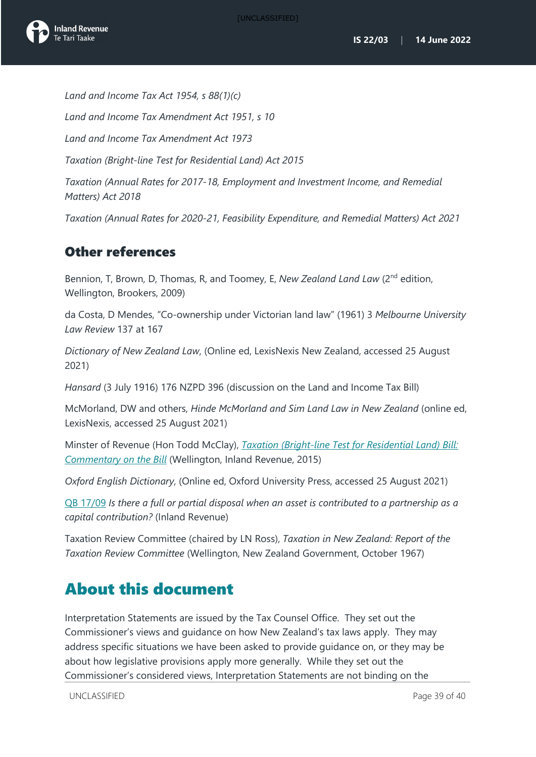

*Land and Income Tax Act 1954, s 88(1)(c) Land and Income Tax Amendment Act 1951, s 10 Land and Income Tax Amendment Act 1973 Taxation (Bright-line Test for Residential Land) Act 2015 Taxation (Annual Rates for 2017-18, Employment and Investment Income, and Remedial Matters) Act 2018 Taxation (Annual Rates for 2020-21, Feasibility Expenditure, and Remedial Matters) Act 2021*

## <span id="page-39-0"></span>Other references

Bennion, T, Brown, D, Thomas, R, and Toomey, E, *New Zealand Land Law* (2<sup>nd</sup> edition, Wellington, Brookers, 2009)

da Costa, D Mendes, "Co-ownership under Victorian land law" (1961) 3 *Melbourne University Law Review* 137 at 167

*Dictionary of New Zealand Law*, (Online ed, LexisNexis New Zealand, accessed 25 August 2021)

*Hansard* (3 July 1916) 176 NZPD 396 (discussion on the Land and Income Tax Bill)

McMorland, DW and others, *Hinde McMorland and Sim Land Law in New Zealand* (online ed, LexisNexis, accessed 25 August 2021)

Minster of Revenue (Hon Todd McClay), *[Taxation \(Bright-line Test for Residential Land\) Bill:](https://taxpolicy.ird.govt.nz/publications/2015/2015-commentary-bltrl) Commentary on the Bill* (Wellington, Inland Revenue, 2015)

*Oxford English Dictionary*, (Online ed, Oxford University Press, accessed 25 August 2021)

QB [17/09](https://www.taxtechnical.ird.govt.nz/en/questions-we-ve-been-asked/2017/qb1709-qb-1709-is-there-a-full-or-partial-disposal-when-an-asset-is-contributed-to-a-partnership-as-) *Is there a full or partial disposal when an asset is contributed to a partnership as a capital contribution?* (Inland Revenue)

Taxation Review Committee (chaired by LN Ross), *Taxation in New Zealand: Report of the Taxation Review Committee* (Wellington, New Zealand Government, October 1967)

# <span id="page-39-1"></span>About this document

Interpretation Statements are issued by the Tax Counsel Office. They set out the Commissioner's views and guidance on how New Zealand's tax laws apply. They may address specific situations we have been asked to provide guidance on, or they may be about how legislative provisions apply more generally. While they set out the Commissioner's considered views, Interpretation Statements are not binding on the